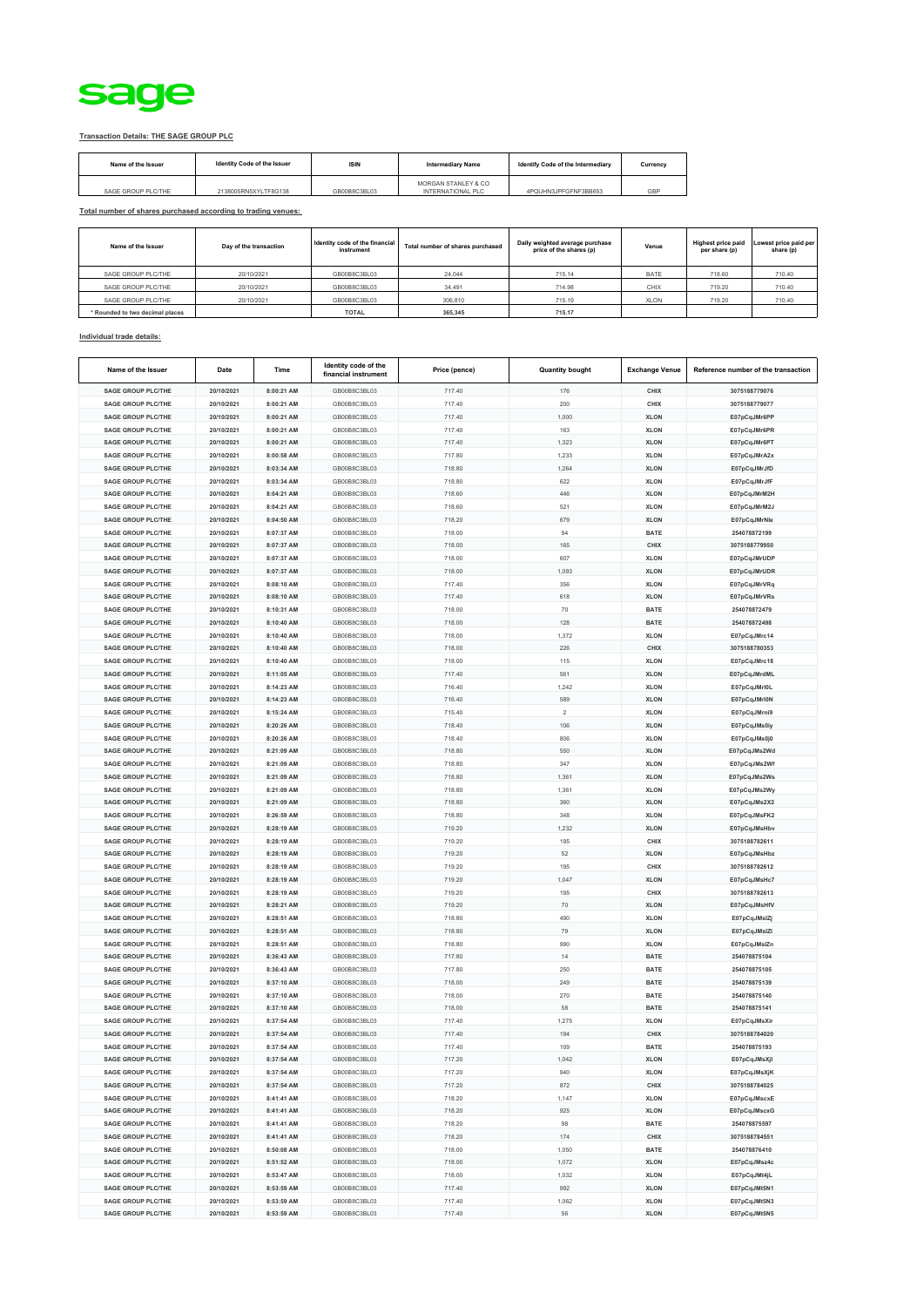

## **Transaction Details: THE SAGE GROUP PLC**

| Name of the Issuer | Identity Code of the Issuer | <b>ISIN</b>  | <b>Intermediary Name</b>                 | Identify Code of the Intermediary | Currency |
|--------------------|-----------------------------|--------------|------------------------------------------|-----------------------------------|----------|
| SAGE GROUP PLC/THE | 2138005RN5XYLTF8G138        | GB00B8C3BL03 | MORGAN STANLEY & CO<br>INTERNATIONAL PLC | 4PQUHN3JPFGFNF3BB653              | GBP      |

**Total number of shares purchased according to trading venues:**

| Name of the Issuer              | Day of the transaction | Identity code of the financial<br>instrument | Total number of shares purchased | Daily weighted average purchase<br>price of the shares (p) | Venue       | <b>Highest price paid</b><br>per share (p) | Lowest price paid per<br>share (p) |
|---------------------------------|------------------------|----------------------------------------------|----------------------------------|------------------------------------------------------------|-------------|--------------------------------------------|------------------------------------|
| SAGE GROUP PLC/THE              | 20/10/2021             | GB00B8C3BL03                                 | 24.044                           | 715.14                                                     | <b>BATE</b> | 718.60                                     | 710.40                             |
| SAGE GROUP PLC/THE              | 20/10/2021             | GB00B8C3BL03                                 | 34.491                           | 714.98                                                     | CHIX        | 719.20                                     | 710.40                             |
| SAGE GROUP PLC/THE              | 20/10/2021             | GB00B8C3BL03                                 | 306,810                          | 715.19                                                     | <b>XLON</b> | 719.20                                     | 710.40                             |
| * Rounded to two decimal places |                        | <b>TOTAL</b>                                 | 365,345                          | 715.17                                                     |             |                                            |                                    |

## **Individual trade details:**

| Name of the Issuer        | Date       | Time       | Identity code of the<br>financial instrument | Price (pence) | <b>Quantity bought</b> | <b>Exchange Venue</b> | Reference number of the transaction |
|---------------------------|------------|------------|----------------------------------------------|---------------|------------------------|-----------------------|-------------------------------------|
| <b>SAGE GROUP PLC/THE</b> | 20/10/2021 | 8:00:21 AM | GB00B8C3BL03                                 | 717.40        | 176                    | CHIX                  | 3075188779076                       |
| <b>SAGE GROUP PLC/THE</b> | 20/10/2021 | 8:00:21 AM | GB00B8C3BL03                                 | 717.40        | 200                    | CHIX                  | 3075188779077                       |
| <b>SAGE GROUP PLC/THE</b> | 20/10/2021 | 8:00:21 AM | GB00B8C3BL03                                 | 717.40        | 1,000                  | <b>XLON</b>           | E07pCqJMr6PP                        |
| <b>SAGE GROUP PLC/THE</b> | 20/10/2021 | 8:00:21 AM | GB00B8C3BL03                                 | 717.40        | 163                    | <b>XLON</b>           | E07pCqJMr6PR                        |
| <b>SAGE GROUP PLC/THE</b> | 20/10/2021 | 8:00:21 AM | GB00B8C3BL03                                 | 717.40        | 1,323                  | <b>XLON</b>           | E07pCqJMr6PT                        |
| <b>SAGE GROUP PLC/THE</b> | 20/10/2021 | 8:00:58 AM | GB00B8C3BL03                                 | 717.80        | 1,233                  | <b>XLON</b>           | E07pCqJMrA2x                        |
| <b>SAGE GROUP PLC/THE</b> | 20/10/2021 | 8:03:34 AM | GB00B8C3BL03                                 | 718.80        | 1,264                  | <b>XLON</b>           | E07pCqJMrJfD                        |
| <b>SAGE GROUP PLC/THE</b> | 20/10/2021 | 8:03:34 AM | GB00B8C3BL03                                 | 718.80        | 622                    | <b>XLON</b>           | E07pCqJMrJfF                        |
| <b>SAGE GROUP PLC/THE</b> | 20/10/2021 | 8:04:21 AM | GB00B8C3BL03                                 | 718.60        | 446                    | <b>XLON</b>           | E07pCqJMrM2H                        |
| <b>SAGE GROUP PLC/THE</b> | 20/10/2021 | 8:04:21 AM | GB00B8C3BL03                                 | 718.60        | 521                    | <b>XLON</b>           | E07pCqJMrM2J                        |
| <b>SAGE GROUP PLC/THE</b> | 20/10/2021 | 8:04:50 AM | GB00B8C3BL03                                 | 718.20        | 679                    | <b>XLON</b>           | E07pCqJMrNle                        |
| <b>SAGE GROUP PLC/THE</b> | 20/10/2021 | 8:07:37 AM | GB00B8C3BL03                                 | 718.00        | 94                     | <b>BATE</b>           | 254078872199                        |
| <b>SAGE GROUP PLC/THE</b> | 20/10/2021 | 8:07:37 AM | GB00B8C3BL03                                 | 718.00        | 165                    | CHIX                  | 3075188779950                       |
| <b>SAGE GROUP PLC/THE</b> | 20/10/2021 | 8:07:37 AM | GB00B8C3BL03                                 | 718.00        | 607                    | <b>XLON</b>           | E07pCqJMrUDP                        |
| <b>SAGE GROUP PLC/THE</b> | 20/10/2021 | 8:07:37 AM | GB00B8C3BL03                                 | 718.00        | 1,093                  | <b>XLON</b>           | E07pCqJMrUDR                        |
| <b>SAGE GROUP PLC/THE</b> | 20/10/2021 | 8:08:10 AM | GB00B8C3BL03                                 | 717.40        | 356                    | <b>XLON</b>           | E07pCqJMrVRq                        |
| <b>SAGE GROUP PLC/THE</b> | 20/10/2021 | 8:08:10 AM | GB00B8C3BL03                                 | 717.40        | 618                    | <b>XLON</b>           | E07pCqJMrVRs                        |
| <b>SAGE GROUP PLC/THE</b> | 20/10/2021 | 8:10:31 AM | GB00B8C3BL03                                 | 718.00        | 70                     | <b>BATE</b>           | 254078872479                        |
| <b>SAGE GROUP PLC/THE</b> | 20/10/2021 | 8:10:40 AM | GB00B8C3BL03                                 | 718.00        | 128                    | <b>BATE</b>           | 254078872498                        |
| <b>SAGE GROUP PLC/THE</b> | 20/10/2021 | 8:10:40 AM | GB00B8C3BL03                                 | 718.00        | 1,372                  | <b>XLON</b>           | E07pCqJMrc14                        |
| <b>SAGE GROUP PLC/THE</b> | 20/10/2021 | 8:10:40 AM | GB00B8C3BL03                                 | 718.00        | 226                    | CHIX                  | 3075188780353                       |
| <b>SAGE GROUP PLC/THE</b> | 20/10/2021 | 8:10:40 AM | GB00B8C3BL03                                 | 718.00        | 115                    | <b>XLON</b>           | E07pCqJMrc18                        |
| <b>SAGE GROUP PLC/THE</b> | 20/10/2021 | 8:11:05 AM | GB00B8C3BL03                                 | 717.40        | 561                    | <b>XLON</b>           | E07pCqJMrdML                        |
| <b>SAGE GROUP PLC/THE</b> | 20/10/2021 | 8:14:23 AM | GB00B8C3BL03                                 | 716.40        | 1,242                  | <b>XLON</b>           | E07pCqJMrl0L                        |
| <b>SAGE GROUP PLC/THE</b> | 20/10/2021 | 8:14:23 AM | GB00B8C3BL03                                 | 716.40        | 589                    | <b>XLON</b>           | E07pCqJMrl0N                        |
| <b>SAGE GROUP PLC/THE</b> | 20/10/2021 | 8:15:24 AM | GB00B8C3BL03                                 | 715.40        | $\overline{2}$         | <b>XLON</b>           | E07pCqJMrni9                        |
| <b>SAGE GROUP PLC/THE</b> | 20/10/2021 | 8:20:26 AM | GB00B8C3BL03                                 | 718.40        | 106                    | <b>XLON</b>           | E07pCqJMs0iy                        |
| <b>SAGE GROUP PLC/THE</b> | 20/10/2021 | 8:20:26 AM | GB00B8C3BL03                                 | 718.40        | 806                    | <b>XLON</b>           | E07pCqJMs0j0                        |
| <b>SAGE GROUP PLC/THE</b> | 20/10/2021 | 8:21:09 AM | GB00B8C3BL03                                 | 718.80        | 550                    | <b>XLON</b>           | E07pCqJMs2Wd                        |
| <b>SAGE GROUP PLC/THE</b> | 20/10/2021 | 8:21:09 AM | GB00B8C3BL03                                 | 718.80        | 347                    | <b>XLON</b>           | E07pCqJMs2Wf                        |
| <b>SAGE GROUP PLC/THE</b> | 20/10/2021 | 8:21:09 AM | GB00B8C3BL03                                 | 718.80        | 1,361                  | <b>XLON</b>           | E07pCqJMs2Ws                        |
| <b>SAGE GROUP PLC/THE</b> | 20/10/2021 | 8:21:09 AM | GB00B8C3BL03                                 | 718.80        | 1,361                  | <b>XLON</b>           | E07pCqJMs2Wy                        |
| <b>SAGE GROUP PLC/THE</b> | 20/10/2021 | 8:21:09 AM | GB00B8C3BL03                                 | 718.80        | 360                    | <b>XLON</b>           | E07pCqJMs2X2                        |
| <b>SAGE GROUP PLC/THE</b> | 20/10/2021 | 8:26:59 AM | GB00B8C3BL03                                 | 718.80        | 348                    | <b>XLON</b>           | E07pCqJMsFK2                        |
| <b>SAGE GROUP PLC/THE</b> | 20/10/2021 | 8:28:19 AM | GB00B8C3BL03                                 | 719.20        | 1,232                  | <b>XLON</b>           | E07pCqJMsHbv                        |
| <b>SAGE GROUP PLC/THE</b> | 20/10/2021 | 8:28:19 AM | GB00B8C3BL03                                 | 719.20        | 195                    | CHIX                  | 3075188782611                       |
| <b>SAGE GROUP PLC/THE</b> | 20/10/2021 | 8:28:19 AM | GB00B8C3BL03                                 | 719.20        | 52                     | <b>XLON</b>           | E07pCqJMsHbz                        |
| <b>SAGE GROUP PLC/THE</b> | 20/10/2021 | 8:28:19 AM | GB00B8C3BL03                                 | 719.20        | 195                    | CHIX                  | 3075188782612                       |
| <b>SAGE GROUP PLC/THE</b> | 20/10/2021 | 8:28:19 AM | GB00B8C3BL03                                 | 719.20        | 1,047                  | <b>XLON</b>           | E07pCqJMsHc7                        |
| <b>SAGE GROUP PLC/THE</b> | 20/10/2021 | 8:28:19 AM | GB00B8C3BL03                                 | 719.20        | 195                    | CHIX                  | 3075188782613                       |
| <b>SAGE GROUP PLC/THE</b> | 20/10/2021 | 8:28:21 AM | GB00B8C3BL03                                 | 719.20        | 70                     | <b>XLON</b>           | E07pCqJMsHfV                        |
| <b>SAGE GROUP PLC/THE</b> | 20/10/2021 | 8:28:51 AM | GB00B8C3BL03                                 | 718.80        | 490                    | <b>XLON</b>           | E07pCqJMsIZj                        |
| <b>SAGE GROUP PLC/THE</b> | 20/10/2021 | 8:28:51 AM | GB00B8C3BL03                                 | 718.80        | 79                     | <b>XLON</b>           | E07pCqJMsIZI                        |
| <b>SAGE GROUP PLC/THE</b> | 20/10/2021 | 8:28:51 AM | GB00B8C3BL03                                 | 718.80        | 990                    | <b>XLON</b>           | E07pCqJMsIZn                        |
| <b>SAGE GROUP PLC/THE</b> | 20/10/2021 | 8:36:43 AM | GB00B8C3BL03                                 | 717.80        | 14                     | <b>BATE</b>           | 254078875104                        |
| <b>SAGE GROUP PLC/THE</b> | 20/10/2021 | 8:36:43 AM | GB00B8C3BL03                                 | 717.80        | 250                    | <b>BATE</b>           | 254078875105                        |
| <b>SAGE GROUP PLC/THE</b> | 20/10/2021 | 8:37:10 AM | GB00B8C3BL03                                 | 718.00        | 249                    | <b>BATE</b>           | 254078875139                        |
| <b>SAGE GROUP PLC/THE</b> | 20/10/2021 | 8:37:10 AM | GB00B8C3BL03                                 | 718.00        | 270                    | <b>BATE</b>           | 254078875140                        |
| <b>SAGE GROUP PLC/THE</b> | 20/10/2021 | 8:37:10 AM | GB00B8C3BL03                                 | 718.00        | 58                     | <b>BATE</b>           | 254078875141                        |
| <b>SAGE GROUP PLC/THE</b> | 20/10/2021 | 8:37:54 AM | GB00B8C3BL03                                 | 717.40        | 1,275                  | <b>XLON</b>           | E07pCqJMsXir                        |
| <b>SAGE GROUP PLC/THE</b> | 20/10/2021 | 8:37:54 AM | GB00B8C3BL03                                 | 717.40        | 194                    | CHIX                  | 3075188784020                       |
| <b>SAGE GROUP PLC/THE</b> | 20/10/2021 | 8:37:54 AM | GB00B8C3BL03                                 | 717.40        | 109                    | <b>BATE</b>           | 254078875193                        |
| <b>SAGE GROUP PLC/THE</b> | 20/10/2021 | 8:37:54 AM | GB00B8C3BL03                                 | 717.20        | 1,042                  | <b>XLON</b>           | E07pCqJMsXjl                        |
| <b>SAGE GROUP PLC/THE</b> | 20/10/2021 | 8:37:54 AM | GB00B8C3BL03                                 | 717.20        | 940                    | <b>XLON</b>           | E07pCqJMsXjK                        |
| <b>SAGE GROUP PLC/THE</b> | 20/10/2021 | 8:37:54 AM | GB00B8C3BL03                                 | 717.20        | 872                    | CHIX                  | 3075188784025                       |
| <b>SAGE GROUP PLC/THE</b> | 20/10/2021 | 8:41:41 AM | GB00B8C3BL03                                 | 718.20        | 1,147                  | <b>XLON</b>           | E07pCqJMscxE                        |
| <b>SAGE GROUP PLC/THE</b> | 20/10/2021 | 8:41:41 AM | GB00B8C3BL03                                 | 718.20        | 925                    | <b>XLON</b>           | E07pCqJMscxG                        |
| <b>SAGE GROUP PLC/THE</b> | 20/10/2021 | 8:41:41 AM | GB00B8C3BL03                                 | 718.20        | 98                     | <b>BATE</b>           | 254078875597                        |
| <b>SAGE GROUP PLC/THE</b> | 20/10/2021 | 8:41:41 AM | GB00B8C3BL03                                 | 718.20        | 174                    | <b>CHIX</b>           | 3075188784551                       |
| <b>SAGE GROUP PLC/THE</b> | 20/10/2021 | 8:50:08 AM | GB00B8C3BL03                                 | 718.00        | 1,050                  | <b>BATE</b>           | 254078876410                        |
| <b>SAGE GROUP PLC/THE</b> | 20/10/2021 | 8:51:52 AM | GB00B8C3BL03                                 | 718.00        | 1,072                  | <b>XLON</b>           | E07pCqJMsz4c                        |
| <b>SAGE GROUP PLC/THE</b> | 20/10/2021 | 8:53:47 AM | GB00B8C3BL03                                 | 718.00        | 1,032                  | <b>XLON</b>           | E07pCqJMt4jL                        |
| <b>SAGE GROUP PLC/THE</b> | 20/10/2021 | 8:53:59 AM | GB00B8C3BL03                                 | 717.40        | 992                    | <b>XLON</b>           | E07pCqJMt5N1                        |
| <b>SAGE GROUP PLC/THE</b> | 20/10/2021 | 8:53:59 AM | GB00B8C3BL03                                 | 717.40        | 1,062                  | <b>XLON</b>           | E07pCqJMt5N3                        |
| <b>SAGE GROUP PLC/THE</b> | 20/10/2021 | 8:53:59 AM | GB00B8C3BL03                                 | 717.40        | 56                     | <b>XLON</b>           | E07pCqJMt5N5                        |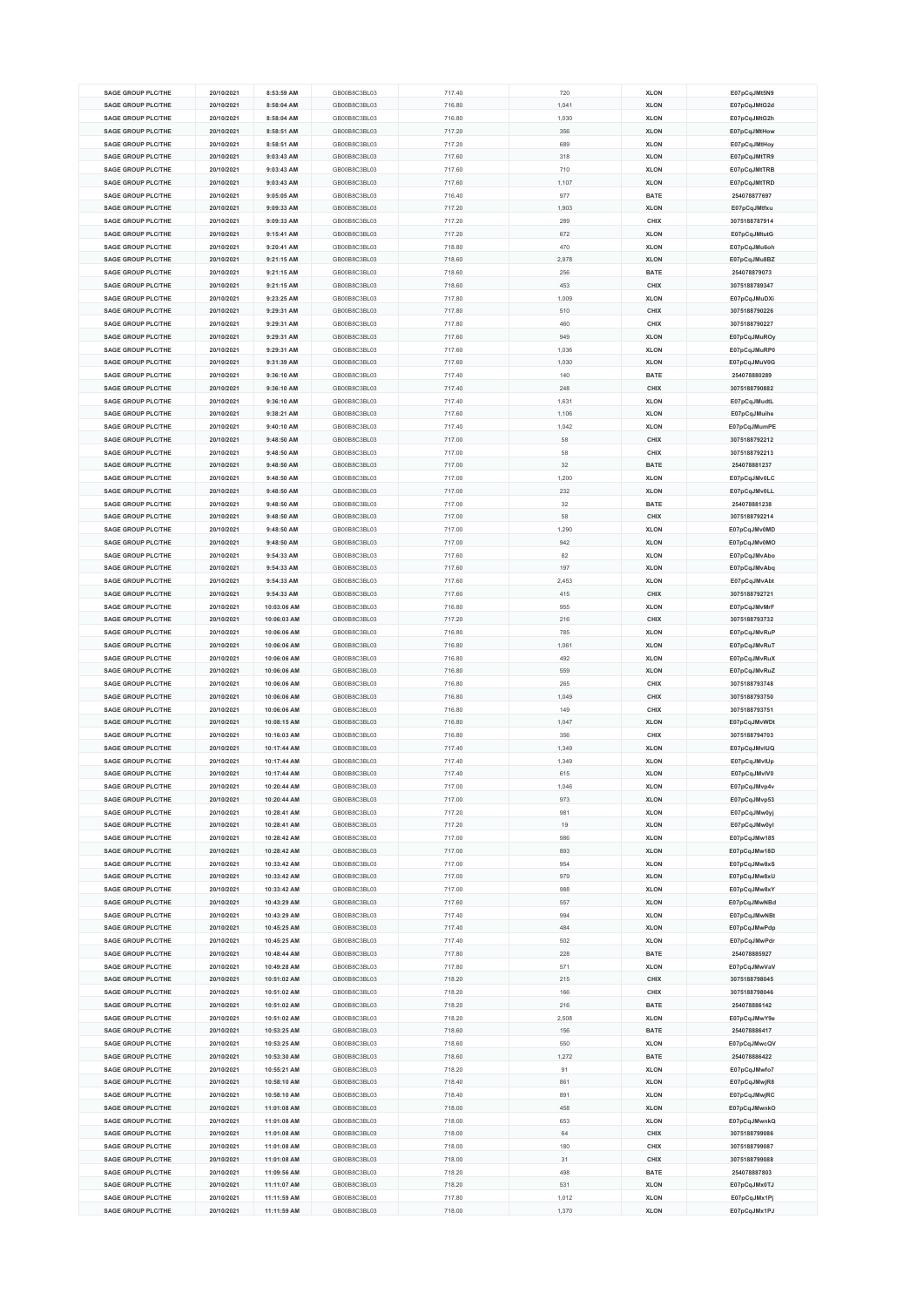| <b>SAGE GROUP PLC/THE</b>                              |                          |                            |                              |                  |                |                            |                              |
|--------------------------------------------------------|--------------------------|----------------------------|------------------------------|------------------|----------------|----------------------------|------------------------------|
|                                                        | 20/10/2021               | 8:53:59 AM                 | GB00B8C3BL03                 | 717.40           | 720            | <b>XLON</b>                | E07pCqJMt5N9                 |
| <b>SAGE GROUP PLC/THE</b>                              | 20/10/2021               | 8:58:04 AM                 | GB00B8C3BL03                 | 716.80           | 1,041          | <b>XLON</b>                | E07pCqJMtG2d                 |
| <b>SAGE GROUP PLC/THE</b>                              | 20/10/2021               | 8:58:04 AM                 | GB00B8C3BL03                 | 716.80           | 1,030          | <b>XLON</b>                | E07pCqJMtG2h                 |
| <b>SAGE GROUP PLC/THE</b>                              | 20/10/2021               | 8:58:51 AM                 | GB00B8C3BL03                 | 717.20           | 356            | <b>XLON</b>                | E07pCqJMtHow                 |
| <b>SAGE GROUP PLC/THE</b>                              | 20/10/2021               | 8:58:51 AM                 | GB00B8C3BL03                 | 717.20           | 689            | <b>XLON</b>                |                              |
|                                                        |                          |                            |                              |                  |                |                            | E07pCqJMtHoy                 |
| <b>SAGE GROUP PLC/THE</b>                              | 20/10/2021               | 9:03:43 AM                 | GB00B8C3BL03                 | 717.60           | 318            | <b>XLON</b>                | E07pCqJMtTR9                 |
| <b>SAGE GROUP PLC/THE</b>                              | 20/10/2021               | 9:03:43 AM                 | GB00B8C3BL03                 | 717.60           | 710            | <b>XLON</b>                | E07pCqJMtTRB                 |
| <b>SAGE GROUP PLC/THE</b>                              | 20/10/2021               | 9:03:43 AM                 | GB00B8C3BL03                 | 717.60           | 1,107          | <b>XLON</b>                | E07pCqJMtTRD                 |
| <b>SAGE GROUP PLC/THE</b>                              | 20/10/2021               | 9:05:05 AM                 | GB00B8C3BL03                 | 716.40           | 977            | <b>BATE</b>                | 254078877697                 |
| <b>SAGE GROUP PLC/THE</b>                              | 20/10/2021               | 9:09:33 AM                 | GB00B8C3BL03                 | 717.20           | 1,903          | <b>XLON</b>                | E07pCqJMtfxu                 |
|                                                        |                          |                            |                              |                  |                |                            |                              |
| <b>SAGE GROUP PLC/THE</b>                              | 20/10/2021               | 9:09:33 AM                 | GB00B8C3BL03                 | 717.20           | 289            | CHIX                       | 3075188787914                |
| <b>SAGE GROUP PLC/THE</b>                              | 20/10/2021               | 9:15:41 AM                 | GB00B8C3BL03                 | 717.20           | 672            | <b>XLON</b>                | E07pCqJMtutG                 |
| <b>SAGE GROUP PLC/THE</b>                              | 20/10/2021               | 9:20:41 AM                 | GB00B8C3BL03                 | 718.80           | 470            | <b>XLON</b>                | E07pCqJMu6oh                 |
| <b>SAGE GROUP PLC/THE</b>                              | 20/10/2021               | 9:21:15 AM                 | GB00B8C3BL03                 | 718.60           | 2,978          | <b>XLON</b>                | E07pCqJMu8BZ                 |
| SAGE GROUP PLC/THE                                     | 20/10/2021               | 9:21:15 AM                 | GB00B8C3BL03                 | 718.60           | 256            | <b>BATE</b>                | 254078879073                 |
|                                                        |                          |                            |                              |                  |                |                            |                              |
| <b>SAGE GROUP PLC/THE</b>                              | 20/10/2021               | 9:21:15 AM                 | GB00B8C3BL03                 | 718.60           | 453            | CHIX                       | 3075188789347                |
| <b>SAGE GROUP PLC/THE</b>                              | 20/10/2021               | 9:23:25 AM                 | GB00B8C3BL03                 | 717.80           | 1,009          | <b>XLON</b>                | E07pCqJMuDXi                 |
| <b>SAGE GROUP PLC/THE</b>                              | 20/10/2021               | 9:29:31 AM                 | GB00B8C3BL03                 | 717.80           | 510            | CHIX                       | 3075188790226                |
| <b>SAGE GROUP PLC/THE</b>                              | 20/10/2021               | 9:29:31 AM                 | GB00B8C3BL03                 | 717.80           | 460            | CHIX                       | 3075188790227                |
| <b>SAGE GROUP PLC/THE</b>                              | 20/10/2021               | 9:29:31 AM                 | GB00B8C3BL03                 | 717.60           | 949            | <b>XLON</b>                | E07pCqJMuROy                 |
|                                                        |                          |                            |                              |                  |                |                            |                              |
| <b>SAGE GROUP PLC/THE</b>                              | 20/10/2021               | 9:29:31 AM                 | GB00B8C3BL03                 | 717.60           | 1,036          | <b>XLON</b>                | E07pCqJMuRP0                 |
| <b>SAGE GROUP PLC/THE</b>                              | 20/10/2021               | 9:31:39 AM                 | GB00B8C3BL03                 | 717.60           | 1,030          | <b>XLON</b>                | E07pCqJMuV0G                 |
| <b>SAGE GROUP PLC/THE</b>                              | 20/10/2021               | 9:36:10 AM                 | GB00B8C3BL03                 | 717.40           | 140            | <b>BATE</b>                | 254078880289                 |
| <b>SAGE GROUP PLC/THE</b>                              | 20/10/2021               | 9:36:10 AM                 | GB00B8C3BL03                 | 717.40           | 248            | CHIX                       | 3075188790882                |
| <b>SAGE GROUP PLC/THE</b>                              | 20/10/2021               | 9:36:10 AM                 | GB00B8C3BL03                 | 717.40           | 1,631          | <b>XLON</b>                | E07pCqJMudtL                 |
| <b>SAGE GROUP PLC/THE</b>                              | 20/10/2021               | 9:38:21 AM                 | GB00B8C3BL03                 | 717.60           | 1,106          | <b>XLON</b>                |                              |
|                                                        |                          |                            |                              |                  |                |                            | E07pCqJMuihe                 |
| <b>SAGE GROUP PLC/THE</b>                              | 20/10/2021               | 9:40:10 AM                 | GB00B8C3BL03                 | 717.40           | 1,042          | <b>XLON</b>                | E07pCqJMumPE                 |
| SAGE GROUP PLC/THE                                     | 20/10/2021               | 9:48:50 AM                 | GB00B8C3BL03                 | 717.00           | 58             | CHIX                       | 3075188792212                |
| <b>SAGE GROUP PLC/THE</b>                              | 20/10/2021               | 9:48:50 AM                 | GB00B8C3BL03                 | 717.00           | 58             | CHIX                       | 3075188792213                |
| <b>SAGE GROUP PLC/THE</b>                              | 20/10/2021               | 9:48:50 AM                 | GB00B8C3BL03                 | 717.00           | 32             | <b>BATE</b>                | 254078881237                 |
|                                                        |                          |                            |                              |                  |                |                            |                              |
| <b>SAGE GROUP PLC/THE</b>                              | 20/10/2021               | 9:48:50 AM                 | GB00B8C3BL03                 | 717.00           | 1,200          | <b>XLON</b>                | E07pCqJMv0LC                 |
| <b>SAGE GROUP PLC/THE</b>                              | 20/10/2021               | 9:48:50 AM                 | GB00B8C3BL03                 | 717.00           | 232            | <b>XLON</b>                | E07pCqJMv0LL                 |
| <b>SAGE GROUP PLC/THE</b>                              | 20/10/2021               | 9:48:50 AM                 | GB00B8C3BL03                 | 717.00           | 32             | BATE                       | 254078881238                 |
| <b>SAGE GROUP PLC/THE</b>                              | 20/10/2021               | 9:48:50 AM                 | GB00B8C3BL03                 | 717.00           | 58             | CHIX                       | 3075188792214                |
| <b>SAGE GROUP PLC/THE</b>                              | 20/10/2021               | 9:48:50 AM                 | GB00B8C3BL03                 | 717.00           | 1,290          | <b>XLON</b>                | E07pCqJMv0MD                 |
|                                                        |                          |                            |                              |                  |                |                            |                              |
| <b>SAGE GROUP PLC/THE</b>                              | 20/10/2021               | 9:48:50 AM                 | GB00B8C3BL03                 | 717.00           | 942            | <b>XLON</b>                | E07pCqJMv0MO                 |
| <b>SAGE GROUP PLC/THE</b>                              | 20/10/2021               | 9:54:33 AM                 | GB00B8C3BL03                 | 717.60           | 82             | <b>XLON</b>                | E07pCqJMvAbo                 |
| <b>SAGE GROUP PLC/THE</b>                              | 20/10/2021               | 9:54:33 AM                 | GB00B8C3BL03                 | 717.60           | 197            | <b>XLON</b>                | E07pCqJMvAbq                 |
| <b>SAGE GROUP PLC/THE</b>                              | 20/10/2021               | 9:54:33 AM                 | GB00B8C3BL03                 | 717.60           | 2.453          | <b>XLON</b>                | E07pCqJMvAbt                 |
| <b>SAGE GROUP PLC/THE</b>                              | 20/10/2021               | 9:54:33 AM                 | GB00B8C3BL03                 | 717.60           | 415            | CHIX                       | 3075188792721                |
| <b>SAGE GROUP PLC/THE</b>                              |                          |                            | GB00B8C3BL03                 |                  | 955            |                            |                              |
|                                                        | 20/10/2021               | 10:03:06 AM                |                              | 716.80           |                | <b>XLON</b>                | E07pCqJMvMrF                 |
| <b>SAGE GROUP PLC/THE</b>                              | 20/10/2021               | 10:06:03 AM                | GB00B8C3BL03                 | 717.20           | 216            | CHIX                       | 3075188793732                |
| <b>SAGE GROUP PLC/THE</b>                              | 20/10/2021               | 10:06:06 AM                | GB00B8C3BL03                 | 716.80           | 785            | <b>XLON</b>                | E07pCqJMvRuP                 |
| <b>SAGE GROUP PLC/THE</b>                              | 20/10/2021               | 10:06:06 AM                | GB00B8C3BL03                 | 716.80           | 1,061          | <b>XLON</b>                | E07pCqJMvRuT                 |
| <b>SAGE GROUP PLC/THE</b>                              | 20/10/2021               | 10:06:06 AM                | GB00B8C3BL03                 |                  |                |                            |                              |
|                                                        |                          |                            |                              |                  |                |                            |                              |
|                                                        |                          |                            |                              | 716.80           | 492            | <b>XLON</b>                | E07pCqJMvRuX                 |
| <b>SAGE GROUP PLC/THE</b>                              | 20/10/2021               | 10:06:06 AM                | GB00B8C3BL03                 | 716.80           | 559            | <b>XLON</b>                | E07pCqJMvRuZ                 |
| <b>SAGE GROUP PLC/THE</b>                              | 20/10/2021               | 10:06:06 AM                | GB00B8C3BL03                 | 716.80           | 265            | CHIX                       | 3075188793748                |
| <b>SAGE GROUP PLC/THE</b>                              | 20/10/2021               | 10:06:06 AM                | GB00B8C3BL03                 | 716.80           | 1,049          | CHIX                       | 3075188793750                |
| <b>SAGE GROUP PLC/THE</b>                              | 20/10/2021               | 10:06:06 AM                | GB00B8C3BL03                 | 716.80           | 149            | CHIX                       | 3075188793751                |
| <b>SAGE GROUP PLC/THE</b>                              | 20/10/2021               | 10:08:15 AM                | GB00B8C3BL03                 | 716.80           | 1,047          | <b>XLON</b>                | E07pCqJMvWDt                 |
|                                                        |                          |                            |                              |                  |                |                            |                              |
| <b>SAGE GROUP PLC/THE</b>                              | 20/10/2021               | 10:16:03 AM                | GB00B8C3BL03                 | 716.80           | 356            | CHIX                       | 3075188794703                |
| <b>SAGE GROUP PLC/THE</b>                              | 20/10/2021               | 10:17:44 AM                | GB00B8C3BL03                 | 717.40           | 1,349          | <b>XLON</b>                | E07pCqJMvIUQ                 |
| <b>SAGE GROUP PLC/THE</b>                              | 20/10/2021               | 10:17:44 AM                | GB00B8C3BL03                 | 717.40           | 1,349          | <b>XLON</b>                | E07pCqJMvIUp                 |
| <b>SAGE GROUP PLC/THE</b>                              | 20/10/2021               | 10:17:44 AM                | GB00B8C3BL03                 | 717.40           | 615            | <b>XLON</b>                | E07pCqJMvIV0                 |
| <b>SAGE GROUP PLC/THE</b>                              | 20/10/2021               | 10:20:44 AM                | GB00B8C3BL03                 | 717.00           | 1,046          | <b>XLON</b>                | E07pCqJMvp4v                 |
| <b>SAGE GROUP PLC/THE</b>                              | 20/10/2021               | 10:20:44 AM                | GB00B8C3BL03                 | 717.00           | 973            | <b>XLON</b>                | E07pCqJMvp53                 |
| <b>SAGE GROUP PLC/THE</b>                              | 20/10/2021               | 10:28:41 AM                | GB00B8C3BL03                 | 717.20           | 981            | <b>XLON</b>                | E07pCqJMw0yj                 |
|                                                        |                          |                            |                              |                  |                |                            |                              |
| <b>SAGE GROUP PLC/THE</b>                              | 20/10/2021               | 10:28:41 AM                | GB00B8C3BL03                 | 717.20           | 19             | <b>XLON</b>                | E07pCqJMw0yl                 |
| <b>SAGE GROUP PLC/THE</b>                              | 20/10/2021               | 10:28:42 AM                | GB00B8C3BL03                 | 717.00           | 986            | <b>XLON</b>                | E07pCqJMw185                 |
| <b>SAGE GROUP PLC/THE</b>                              | 20/10/2021               | 10:28:42 AM                | GB00B8C3BL03                 | 717.00           | 893            | <b>XLON</b>                | E07pCqJMw18D                 |
| <b>SAGE GROUP PLC/THE</b>                              | 20/10/2021               | 10:33:42 AM                | GB00B8C3BL03                 | 717.00           | 954            | <b>XLON</b>                | E07pCqJMw8xS                 |
| <b>SAGE GROUP PLC/THE</b>                              | 20/10/2021               | 10:33:42 AM                | GB00B8C3BL03                 | 717.00           | 979            | <b>XLON</b>                | E07pCqJMw8xU                 |
| <b>SAGE GROUP PLC/THE</b>                              | 20/10/2021               | 10:33:42 AM                | GB00B8C3BL03                 | 717.00           | 988            | <b>XLON</b>                | E07pCqJMw8xY                 |
| SAGE GROUP PLC/THE                                     |                          |                            |                              |                  | 557            |                            |                              |
|                                                        | 20/10/2021               | 10:43:29 AM                | GB00B8C3BL03                 | 717.60           |                | <b>XLON</b>                | E07pCqJMwNBd                 |
| <b>SAGE GROUP PLC/THE</b>                              | 20/10/2021               | 10:43:29 AM                | GB00B8C3BL03                 | 717.40           | 994            | <b>XLON</b>                | E07pCqJMwNBt                 |
| <b>SAGE GROUP PLC/THE</b>                              | 20/10/2021               | 10:45:25 AM                | GB00B8C3BL03                 | 717.40           | 484            | <b>XLON</b>                | E07pCqJMwPdp                 |
| <b>SAGE GROUP PLC/THE</b>                              | 20/10/2021               | 10:45:25 AM                | GB00B8C3BL03                 | 717.40           | 502            | <b>XLON</b>                | E07pCqJMwPdr                 |
| SAGE GROUP PLC/THE                                     | 20/10/2021               | 10:48:44 AM                | GB00B8C3BL03                 | 717.80           | 228            | <b>BATE</b>                | 254078885927                 |
|                                                        |                          |                            | GB00B8C3BL03                 |                  |                |                            |                              |
| <b>SAGE GROUP PLC/THE</b>                              | 20/10/2021               | 10:49:28 AM                |                              | 717.80           | 571            | <b>XLON</b>                | E07pCqJMwVaV                 |
| <b>SAGE GROUP PLC/THE</b>                              | 20/10/2021               | 10:51:02 AM                | GB00B8C3BL03                 | 718.20           | 215            | CHIX                       | 3075188798045                |
| <b>SAGE GROUP PLC/THE</b>                              | 20/10/2021               | 10:51:02 AM                | GB00B8C3BL03                 | 718.20           | 166            | CHIX                       | 3075188798046                |
| <b>SAGE GROUP PLC/THE</b>                              | 20/10/2021               | 10:51:02 AM                | GB00B8C3BL03                 | 718.20           | 216            | <b>BATE</b>                | 254078886142                 |
| <b>SAGE GROUP PLC/THE</b>                              | 20/10/2021               | 10:51:02 AM                | GB00B8C3BL03                 | 718.20           | 2,508          | <b>XLON</b>                | E07pCqJMwY9e                 |
| <b>SAGE GROUP PLC/THE</b>                              | 20/10/2021               | 10:53:25 AM                | GB00B8C3BL03                 | 718.60           | 156            | BATE                       | 254078886417                 |
|                                                        |                          |                            |                              |                  |                |                            |                              |
| <b>SAGE GROUP PLC/THE</b>                              | 20/10/2021               | 10:53:25 AM                | GB00B8C3BL03                 | 718.60           | 550            | <b>XLON</b>                | E07pCqJMwcQV                 |
| <b>SAGE GROUP PLC/THE</b>                              | 20/10/2021               | 10:53:30 AM                | GB00B8C3BL03                 | 718.60           | 1,272          | <b>BATE</b>                | 254078886422                 |
| <b>SAGE GROUP PLC/THE</b>                              | 20/10/2021               | 10:55:21 AM                | GB00B8C3BL03                 | 718.20           | 91             | <b>XLON</b>                | E07pCqJMwfo7                 |
| <b>SAGE GROUP PLC/THE</b>                              | 20/10/2021               | 10:58:10 AM                | GB00B8C3BL03                 | 718.40           | 861            | <b>XLON</b>                | E07pCqJMwjR8                 |
| <b>SAGE GROUP PLC/THE</b>                              | 20/10/2021               | 10:58:10 AM                | GB00B8C3BL03                 | 718.40           | 891            | <b>XLON</b>                | E07pCqJMwjRC                 |
| <b>SAGE GROUP PLC/THE</b>                              | 20/10/2021               | 11:01:08 AM                | GB00B8C3BL03                 |                  | 458            | <b>XLON</b>                |                              |
|                                                        |                          |                            |                              | 718.00           |                |                            | E07pCqJMwnkO                 |
| <b>SAGE GROUP PLC/THE</b>                              | 20/10/2021               | 11:01:08 AM                | GB00B8C3BL03                 | 718.00           | 653            | <b>XLON</b>                | E07pCqJMwnkQ                 |
| <b>SAGE GROUP PLC/THE</b>                              | 20/10/2021               | 11:01:08 AM                | GB00B8C3BL03                 | 718.00           | 64             | CHIX                       | 3075188799086                |
| <b>SAGE GROUP PLC/THE</b>                              | 20/10/2021               | 11:01:08 AM                | GB00B8C3BL03                 | 718.00           | 180            | CHIX                       | 3075188799087                |
| <b>SAGE GROUP PLC/THE</b>                              | 20/10/2021               | 11:01:08 AM                | GB00B8C3BL03                 | 718.00           | 31             | CHIX                       | 3075188799088                |
| <b>SAGE GROUP PLC/THE</b>                              | 20/10/2021               | 11:09:56 AM                | GB00B8C3BL03                 | 718.20           | 498            | <b>BATE</b>                | 254078887803                 |
| <b>SAGE GROUP PLC/THE</b>                              | 20/10/2021               | 11:11:07 AM                | GB00B8C3BL03                 | 718.20           | 531            | <b>XLON</b>                |                              |
|                                                        |                          |                            |                              |                  |                |                            | E07pCqJMx0TJ                 |
| <b>SAGE GROUP PLC/THE</b><br><b>SAGE GROUP PLC/THE</b> | 20/10/2021<br>20/10/2021 | 11:11:59 AM<br>11:11:59 AM | GB00B8C3BL03<br>GB00B8C3BL03 | 717.80<br>718.00 | 1,012<br>1,370 | <b>XLON</b><br><b>XLON</b> | E07pCqJMx1Pj<br>E07pCqJMx1PJ |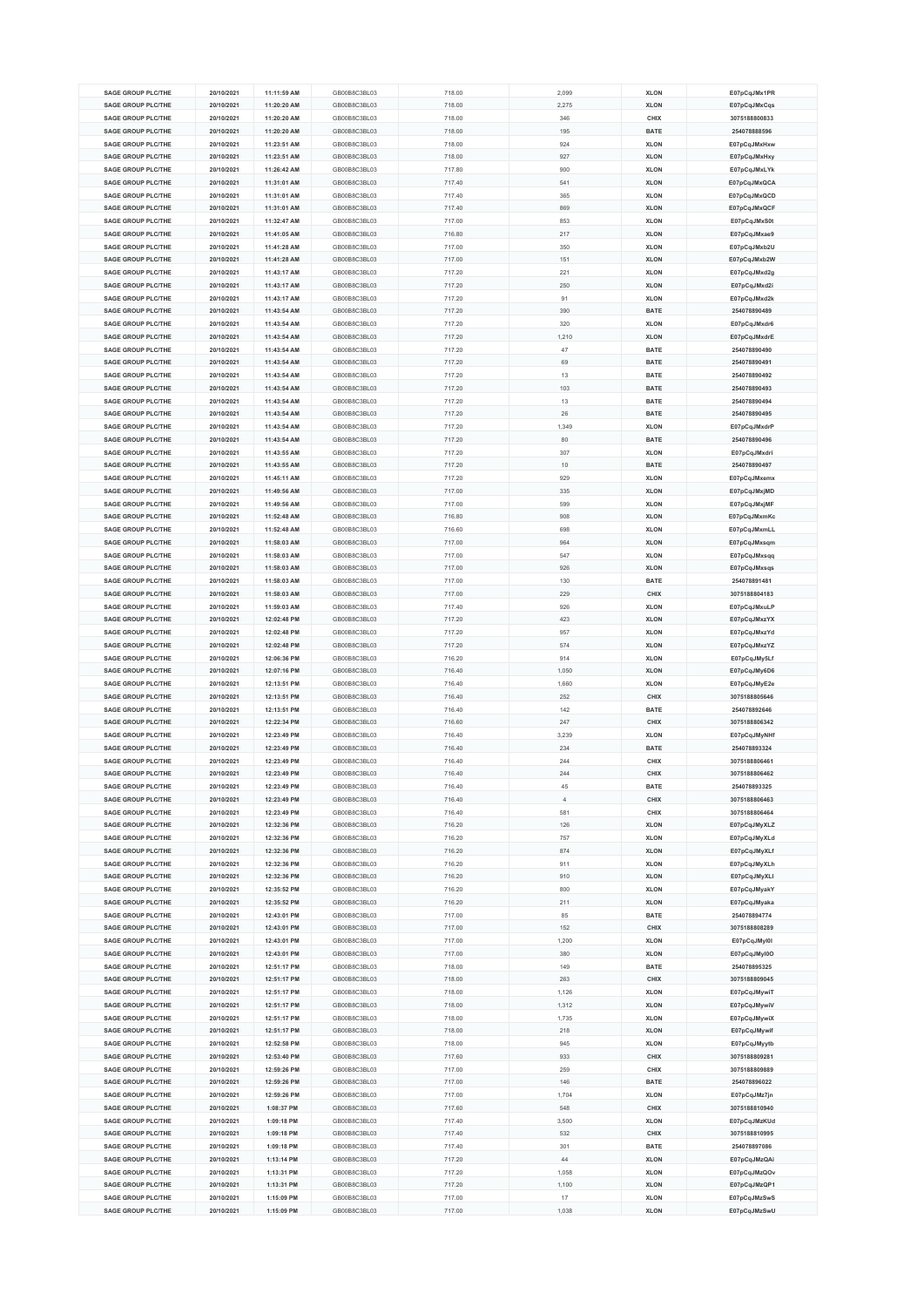| <b>SAGE GROUP PLC/THE</b><br><b>SAGE GROUP PLC/THE</b> | 20/10/2021 | 11:11:59 AM |              |        |                |             |               |
|--------------------------------------------------------|------------|-------------|--------------|--------|----------------|-------------|---------------|
|                                                        |            |             | GB00B8C3BL03 | 718.00 | 2,099          | <b>XLON</b> | E07pCqJMx1PR  |
|                                                        | 20/10/2021 | 11:20:20 AM | GB00B8C3BL03 | 718.00 | 2,275          | <b>XLON</b> | E07pCqJMxCqs  |
| <b>SAGE GROUP PLC/THE</b>                              | 20/10/2021 | 11:20:20 AM | GB00B8C3BL03 | 718.00 | 346            | CHIX        | 3075188800833 |
|                                                        |            |             |              |        |                |             |               |
| <b>SAGE GROUP PLC/THE</b>                              | 20/10/2021 | 11:20:20 AM | GB00B8C3BL03 | 718.00 | 195            | <b>BATE</b> | 254078888596  |
| <b>SAGE GROUP PLC/THE</b>                              | 20/10/2021 | 11:23:51 AM | GB00B8C3BL03 | 718.00 | 924            | <b>XLON</b> | E07pCqJMxHxw  |
| <b>SAGE GROUP PLC/THE</b>                              | 20/10/2021 | 11:23:51 AM | GB00B8C3BL03 | 718.00 | 927            | <b>XLON</b> | E07pCqJMxHxy  |
|                                                        |            |             |              |        |                |             |               |
| <b>SAGE GROUP PLC/THE</b>                              | 20/10/2021 | 11:26:42 AM | GB00B8C3BL03 | 717.80 | 900            | <b>XLON</b> | E07pCqJMxLYk  |
| <b>SAGE GROUP PLC/THE</b>                              | 20/10/2021 | 11:31:01 AM | GB00B8C3BL03 | 717.40 | 541            | <b>XLON</b> | E07pCqJMxQCA  |
| <b>SAGE GROUP PLC/THE</b>                              | 20/10/2021 | 11:31:01 AM | GB00B8C3BL03 | 717.40 | 365            | <b>XLON</b> | E07pCqJMxQCD  |
|                                                        |            |             |              |        |                |             |               |
| <b>SAGE GROUP PLC/THE</b>                              | 20/10/2021 | 11:31:01 AM | GB00B8C3BL03 | 717.40 | 869            | <b>XLON</b> | E07pCqJMxQCF  |
| <b>SAGE GROUP PLC/THE</b>                              | 20/10/2021 | 11:32:47 AM | GB00B8C3BL03 | 717.00 | 853            | <b>XLON</b> | E07pCqJMxS0t  |
| <b>SAGE GROUP PLC/THE</b>                              | 20/10/2021 | 11:41:05 AM | GB00B8C3BL03 | 716.80 | 217            | <b>XLON</b> | E07pCqJMxae9  |
|                                                        |            |             |              |        |                |             |               |
| <b>SAGE GROUP PLC/THE</b>                              | 20/10/2021 | 11:41:28 AM | GB00B8C3BL03 | 717.00 | 350            | <b>XLON</b> | E07pCqJMxb2U  |
| <b>SAGE GROUP PLC/THE</b>                              | 20/10/2021 | 11:41:28 AM | GB00B8C3BL03 | 717.00 | 151            | <b>XLON</b> | E07pCqJMxb2W  |
| <b>SAGE GROUP PLC/THE</b>                              | 20/10/2021 | 11:43:17 AM | GB00B8C3BL03 | 717.20 | 221            | <b>XLON</b> | E07pCqJMxd2g  |
|                                                        | 20/10/2021 |             |              |        |                |             |               |
| <b>SAGE GROUP PLC/THE</b>                              |            | 11:43:17 AM | GB00B8C3BL03 | 717.20 | 250            | <b>XLON</b> | E07pCqJMxd2i  |
| <b>SAGE GROUP PLC/THE</b>                              | 20/10/2021 | 11:43:17 AM | GB00B8C3BL03 | 717.20 | 91             | <b>XLON</b> | E07pCqJMxd2k  |
| <b>SAGE GROUP PLC/THE</b>                              | 20/10/2021 | 11:43:54 AM | GB00B8C3BL03 | 717.20 | 390            | <b>BATE</b> | 254078890489  |
| <b>SAGE GROUP PLC/THE</b>                              | 20/10/2021 | 11:43:54 AM | GB00B8C3BL03 | 717.20 | 320            | <b>XLON</b> | E07pCqJMxdr6  |
|                                                        |            |             |              |        |                |             |               |
| <b>SAGE GROUP PLC/THE</b>                              | 20/10/2021 | 11:43:54 AM | GB00B8C3BL03 | 717.20 | 1,210          | <b>XLON</b> | E07pCqJMxdrE  |
| <b>SAGE GROUP PLC/THE</b>                              | 20/10/2021 | 11:43:54 AM | GB00B8C3BL03 | 717.20 | 47             | <b>BATE</b> | 254078890490  |
| <b>SAGE GROUP PLC/THE</b>                              | 20/10/2021 | 11:43:54 AM | GB00B8C3BL03 | 717.20 | 69             | <b>BATE</b> | 254078890491  |
|                                                        |            |             |              |        |                |             |               |
| <b>SAGE GROUP PLC/THE</b>                              | 20/10/2021 | 11:43:54 AM | GB00B8C3BL03 | 717.20 | 13             | <b>BATE</b> | 254078890492  |
| <b>SAGE GROUP PLC/THE</b>                              | 20/10/2021 | 11:43:54 AM | GB00B8C3BL03 | 717.20 | 103            | <b>BATE</b> | 254078890493  |
| <b>SAGE GROUP PLC/THE</b>                              | 20/10/2021 | 11:43:54 AM | GB00B8C3BL03 | 717.20 | 13             | <b>BATE</b> | 254078890494  |
| <b>SAGE GROUP PLC/THE</b>                              |            |             |              |        |                |             |               |
|                                                        | 20/10/2021 | 11:43:54 AM | GB00B8C3BL03 | 717.20 | 26             | <b>BATE</b> | 254078890495  |
| <b>SAGE GROUP PLC/THE</b>                              | 20/10/2021 | 11:43:54 AM | GB00B8C3BL03 | 717.20 | 1,349          | <b>XLON</b> | E07pCqJMxdrP  |
| <b>SAGE GROUP PLC/THE</b>                              | 20/10/2021 | 11:43:54 AM | GB00B8C3BL03 | 717.20 | 80             | <b>BATE</b> | 254078890496  |
|                                                        |            |             |              |        |                |             |               |
| <b>SAGE GROUP PLC/THE</b>                              | 20/10/2021 | 11:43:55 AM | GB00B8C3BL03 | 717.20 | 307            | <b>XLON</b> | E07pCqJMxdri  |
| <b>SAGE GROUP PLC/THE</b>                              | 20/10/2021 | 11:43:55 AM | GB00B8C3BL03 | 717.20 | 10             | <b>BATE</b> | 254078890497  |
| <b>SAGE GROUP PLC/THE</b>                              | 20/10/2021 | 11:45:11 AM | GB00B8C3BL03 | 717.20 | 929            | <b>XLON</b> | E07pCqJMxemx  |
|                                                        |            |             |              |        |                |             |               |
| <b>SAGE GROUP PLC/THE</b>                              | 20/10/2021 | 11:49:56 AM | GB00B8C3BL03 | 717.00 | 335            | <b>XLON</b> | E07pCqJMxjMD  |
| <b>SAGE GROUP PLC/THE</b>                              | 20/10/2021 | 11:49:56 AM | GB00B8C3BL03 | 717.00 | 599            | <b>XLON</b> | E07pCqJMxjMF  |
| <b>SAGE GROUP PLC/THE</b>                              | 20/10/2021 | 11:52:48 AM | GB00B8C3BL03 | 716.80 | 908            | <b>XLON</b> | E07pCqJMxmKc  |
| <b>SAGE GROUP PLC/THE</b>                              | 20/10/2021 | 11:52:48 AM | GB00B8C3BL03 | 716.60 | 698            | <b>XLON</b> | E07pCqJMxmLL  |
|                                                        |            |             |              |        |                |             |               |
| <b>SAGE GROUP PLC/THE</b>                              | 20/10/2021 | 11:58:03 AM | GB00B8C3BL03 | 717.00 | 964            | <b>XLON</b> | E07pCqJMxsqm  |
| <b>SAGE GROUP PLC/THE</b>                              | 20/10/2021 | 11:58:03 AM | GB00B8C3BL03 | 717.00 | 547            | <b>XLON</b> | E07pCqJMxsqq  |
| <b>SAGE GROUP PLC/THE</b>                              | 20/10/2021 | 11:58:03 AM | GB00B8C3BL03 | 717.00 | 926            | <b>XLON</b> | E07pCqJMxsqs  |
| <b>SAGE GROUP PLC/THE</b>                              | 20/10/2021 | 11:58:03 AM | GB00B8C3BL03 | 717.00 | 130            | <b>BATE</b> | 254078891481  |
|                                                        |            |             |              |        |                |             |               |
| <b>SAGE GROUP PLC/THE</b>                              | 20/10/2021 | 11:58:03 AM | GB00B8C3BL03 | 717.00 | 229            | CHIX        | 3075188804183 |
| <b>SAGE GROUP PLC/THE</b>                              | 20/10/2021 | 11:59:03 AM | GB00B8C3BL03 | 717.40 | 926            | <b>XLON</b> | E07pCqJMxuLP  |
| <b>SAGE GROUP PLC/THE</b>                              | 20/10/2021 | 12:02:48 PM | GB00B8C3BL03 | 717.20 | 423            | <b>XLON</b> | E07pCqJMxzYX  |
| <b>SAGE GROUP PLC/THE</b>                              | 20/10/2021 | 12:02:48 PM | GB00B8C3BL03 | 717.20 | 957            | <b>XLON</b> | E07pCqJMxzYd  |
|                                                        |            |             |              |        |                |             |               |
| <b>SAGE GROUP PLC/THE</b>                              | 20/10/2021 | 12:02:48 PM | GB00B8C3BL03 | 717.20 | 574            | <b>XLON</b> | E07pCqJMxzYZ  |
| <b>SAGE GROUP PLC/THE</b>                              | 20/10/2021 | 12:06:36 PM | GB00B8C3BL03 | 716.20 | 914            | <b>XLON</b> | E07pCqJMy5Lf  |
| <b>SAGE GROUP PLC/THE</b>                              | 20/10/2021 | 12:07:16 PM | GB00B8C3BL03 | 716.40 | 1,050          | <b>XLON</b> | E07pCqJMy6D6  |
|                                                        |            |             |              |        |                |             |               |
| <b>SAGE GROUP PLC/THE</b>                              | 20/10/2021 | 12:13:51 PM | GB00B8C3BL03 | 716.40 | 1,660          | <b>XLON</b> | E07pCqJMyE2e  |
| <b>SAGE GROUP PLC/THE</b>                              | 20/10/2021 | 12:13:51 PM | GB00B8C3BL03 | 716.40 | 252            | CHIX        | 3075188805646 |
|                                                        |            |             | GB00B8C3BL03 | 716.40 | 142            |             | 254078892646  |
| <b>SAGE GROUP PLC/THE</b>                              | 20/10/2021 | 12:13:51 PM |              |        |                | <b>BATE</b> |               |
|                                                        |            |             |              |        |                |             |               |
| <b>SAGE GROUP PLC/THE</b>                              | 20/10/2021 | 12:22:34 PM | GB00B8C3BL03 | 716.60 | 247            | CHIX        | 3075188806342 |
| <b>SAGE GROUP PLC/THE</b>                              | 20/10/2021 | 12:23:49 PM | GB00B8C3BL03 | 716.40 | 3,239          | <b>XLON</b> | E07pCqJMyNHf  |
| <b>SAGE GROUP PLC/THE</b>                              | 20/10/2021 | 12:23:49 PM | GB00B8C3BL03 | 716.40 | 234            | <b>BATE</b> | 254078893324  |
| <b>SAGE GROUP PLC/THE</b>                              | 20/10/2021 | 12:23:49 PM | GB00B8C3BL03 | 716.40 | 244            | CHIX        | 3075188806461 |
| <b>SAGE GROUP PLC/THE</b>                              | 20/10/2021 | 12:23:49 PM | GB00B8C3BL03 | 716.40 | 244            | <b>CHIX</b> | 3075188806462 |
|                                                        |            |             |              |        |                |             |               |
| <b>SAGE GROUP PLC/THE</b>                              | 20/10/2021 | 12:23:49 PM | GB00B8C3BL03 | 716.40 | 45             | <b>BATE</b> | 254078893325  |
| <b>SAGE GROUP PLC/THE</b>                              | 20/10/2021 | 12:23:49 PM | GB00B8C3BL03 | 716.40 | $\overline{4}$ | CHIX        | 3075188806463 |
| <b>SAGE GROUP PLC/THE</b>                              | 20/10/2021 | 12:23:49 PM | GB00B8C3BL03 | 716.40 | 581            | CHIX        | 3075188806464 |
| <b>SAGE GROUP PLC/THE</b>                              | 20/10/2021 | 12:32:36 PM | GB00B8C3BL03 | 716.20 | 126            | <b>XLON</b> | E07pCqJMyXLZ  |
| <b>SAGE GROUP PLC/THE</b>                              |            |             |              |        |                |             |               |
|                                                        | 20/10/2021 | 12:32:36 PM | GB00B8C3BL03 | 716.20 | 757            | <b>XLON</b> | E07pCqJMyXLd  |
| <b>SAGE GROUP PLC/THE</b>                              | 20/10/2021 | 12:32:36 PM | GB00B8C3BL03 | 716.20 | 874            | <b>XLON</b> | E07pCqJMyXLf  |
| <b>SAGE GROUP PLC/THE</b>                              | 20/10/2021 | 12:32:36 PM | GB00B8C3BL03 | 716.20 | 911            | <b>XLON</b> | E07pCqJMyXLh  |
| <b>SAGE GROUP PLC/THE</b>                              |            | 12:32:36 PM | GB00B8C3BL03 | 716.20 | 910            | <b>XLON</b> |               |
|                                                        | 20/10/2021 |             |              |        |                |             | E07pCqJMyXLI  |
| <b>SAGE GROUP PLC/THE</b>                              | 20/10/2021 | 12:35:52 PM | GB00B8C3BL03 | 716.20 | 800            | <b>XLON</b> | E07pCqJMyakY  |
| <b>SAGE GROUP PLC/THE</b>                              | 20/10/2021 | 12:35:52 PM | GB00B8C3BL03 | 716.20 | 211            | <b>XLON</b> | E07pCqJMyaka  |
| <b>SAGE GROUP PLC/THE</b>                              | 20/10/2021 | 12:43:01 PM | GB00B8C3BL03 | 717.00 | 85             | <b>BATE</b> | 254078894774  |
| <b>SAGE GROUP PLC/THE</b>                              |            |             |              |        |                |             | 3075188808289 |
|                                                        | 20/10/2021 | 12:43:01 PM | GB00B8C3BL03 | 717.00 | 152            | CHIX        |               |
| <b>SAGE GROUP PLC/THE</b>                              | 20/10/2021 | 12:43:01 PM | GB00B8C3BL03 | 717.00 | 1,200          | <b>XLON</b> | E07pCqJMyI0I  |
| <b>SAGE GROUP PLC/THE</b>                              | 20/10/2021 | 12:43:01 PM | GB00B8C3BL03 | 717.00 | 380            | <b>XLON</b> | E07pCqJMyl0O  |
| <b>SAGE GROUP PLC/THE</b>                              | 20/10/2021 | 12:51:17 PM | GB00B8C3BL03 | 718.00 | 149            | <b>BATE</b> | 254078895325  |
| <b>SAGE GROUP PLC/THE</b>                              |            |             | GB00B8C3BL03 | 718.00 | 263            | CHIX        | 3075188809045 |
|                                                        | 20/10/2021 | 12:51:17 PM |              |        |                |             |               |
| <b>SAGE GROUP PLC/THE</b>                              | 20/10/2021 | 12:51:17 PM | GB00B8C3BL03 | 718.00 | 1,126          | <b>XLON</b> | E07pCqJMywiT  |
| <b>SAGE GROUP PLC/THE</b>                              | 20/10/2021 | 12:51:17 PM | GB00B8C3BL03 | 718.00 | 1,312          | <b>XLON</b> | E07pCqJMywiV  |
| <b>SAGE GROUP PLC/THE</b>                              | 20/10/2021 | 12:51:17 PM | GB00B8C3BL03 | 718.00 | 1,735          | <b>XLON</b> | E07pCqJMywiX  |
|                                                        |            |             |              |        | 218            |             |               |
| <b>SAGE GROUP PLC/THE</b>                              | 20/10/2021 | 12:51:17 PM | GB00B8C3BL03 | 718.00 |                | <b>XLON</b> | E07pCqJMywif  |
| <b>SAGE GROUP PLC/THE</b>                              | 20/10/2021 | 12:52:58 PM | GB00B8C3BL03 | 718.00 | 945            | <b>XLON</b> | E07pCqJMyytb  |
| <b>SAGE GROUP PLC/THE</b>                              | 20/10/2021 | 12:53:40 PM | GB00B8C3BL03 | 717.60 | 933            | CHIX        | 3075188809281 |
| <b>SAGE GROUP PLC/THE</b>                              | 20/10/2021 | 12:59:26 PM | GB00B8C3BL03 | 717.00 | 259            | CHIX        | 3075188809889 |
| <b>SAGE GROUP PLC/THE</b>                              | 20/10/2021 | 12:59:26 PM | GB00B8C3BL03 | 717.00 | 146            | <b>BATE</b> | 254078896022  |
|                                                        |            |             |              |        |                |             |               |
| <b>SAGE GROUP PLC/THE</b>                              | 20/10/2021 | 12:59:26 PM | GB00B8C3BL03 | 717.00 | 1,704          | <b>XLON</b> | E07pCqJMz7jn  |
| <b>SAGE GROUP PLC/THE</b>                              | 20/10/2021 | 1:08:37 PM  | GB00B8C3BL03 | 717.60 | 548            | CHIX        | 3075188810940 |
| <b>SAGE GROUP PLC/THE</b>                              | 20/10/2021 | 1:09:18 PM  | GB00B8C3BL03 | 717.40 | 3,500          | <b>XLON</b> | E07pCqJMzKUd  |
| <b>SAGE GROUP PLC/THE</b>                              | 20/10/2021 | 1:09:18 PM  | GB00B8C3BL03 | 717.40 | 532            | CHIX        | 3075188810995 |
| <b>SAGE GROUP PLC/THE</b>                              | 20/10/2021 | 1:09:18 PM  | GB00B8C3BL03 | 717.40 | 301            | <b>BATE</b> | 254078897086  |
|                                                        |            |             |              |        |                |             |               |
| <b>SAGE GROUP PLC/THE</b>                              | 20/10/2021 | 1:13:14 PM  | GB00B8C3BL03 | 717.20 | 44             | <b>XLON</b> | E07pCqJMzQAi  |
| <b>SAGE GROUP PLC/THE</b>                              | 20/10/2021 | 1:13:31 PM  | GB00B8C3BL03 | 717.20 | 1.058          | <b>XLON</b> | E07pCqJMzQOv  |
| <b>SAGE GROUP PLC/THE</b>                              | 20/10/2021 | 1:13:31 PM  | GB00B8C3BL03 | 717.20 | 1,100          | <b>XLON</b> | E07pCqJMzQP1  |
| <b>SAGE GROUP PLC/THE</b>                              | 20/10/2021 | 1:15:09 PM  | GB00B8C3BL03 | 717.00 | 17             | <b>XLON</b> | E07pCqJMzSwS  |
| <b>SAGE GROUP PLC/THE</b>                              | 20/10/2021 | 1:15:09 PM  | GB00B8C3BL03 | 717.00 | 1,038          | <b>XLON</b> | E07pCqJMzSwU  |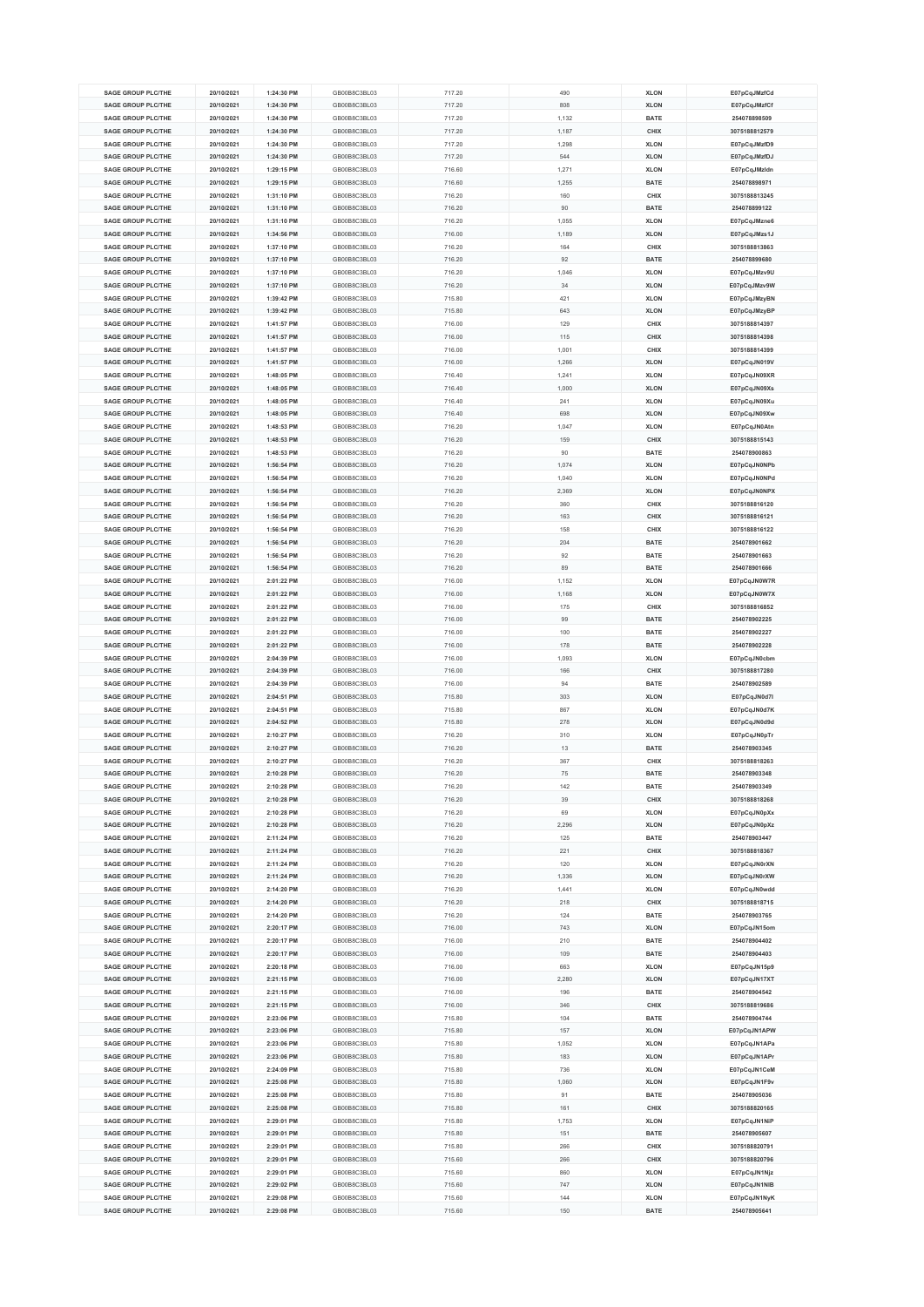| <b>SAGE GROUP PLC/THE</b> | 20/10/2021 | 1:24:30 PM | GB00B8C3BL03 | 717.20 | 490   | <b>XLON</b> | E07pCqJMzfCd  |
|---------------------------|------------|------------|--------------|--------|-------|-------------|---------------|
|                           |            |            |              |        |       |             |               |
| <b>SAGE GROUP PLC/THE</b> | 20/10/2021 | 1:24:30 PM | GB00B8C3BL03 | 717.20 | 808   | <b>XLON</b> | E07pCqJMzfCf  |
| <b>SAGE GROUP PLC/THE</b> | 20/10/2021 | 1:24:30 PM | GB00B8C3BL03 | 717.20 | 1,132 | <b>BATE</b> | 254078898509  |
| <b>SAGE GROUP PLC/THE</b> | 20/10/2021 | 1:24:30 PM | GB00B8C3BL03 | 717.20 | 1,187 | CHIX        | 3075188812579 |
| <b>SAGE GROUP PLC/THE</b> | 20/10/2021 | 1:24:30 PM | GB00B8C3BL03 | 717.20 | 1,298 | <b>XLON</b> | E07pCqJMzfD9  |
| <b>SAGE GROUP PLC/THE</b> | 20/10/2021 | 1:24:30 PM | GB00B8C3BL03 |        | 544   | <b>XLON</b> |               |
|                           |            |            |              | 717.20 |       |             | E07pCqJMzfDJ  |
| <b>SAGE GROUP PLC/THE</b> | 20/10/2021 | 1:29:15 PM | GB00B8C3BL03 | 716.60 | 1,271 | <b>XLON</b> | E07pCqJMzldn  |
| <b>SAGE GROUP PLC/THE</b> | 20/10/2021 | 1:29:15 PM | GB00B8C3BL03 | 716.60 | 1,255 | <b>BATE</b> | 254078898971  |
| <b>SAGE GROUP PLC/THE</b> | 20/10/2021 | 1:31:10 PM | GB00B8C3BL03 | 716.20 | 160   | CHIX        | 3075188813245 |
| <b>SAGE GROUP PLC/THE</b> | 20/10/2021 | 1:31:10 PM | GB00B8C3BL03 | 716.20 | 90    | <b>BATE</b> | 254078899122  |
| <b>SAGE GROUP PLC/THE</b> |            |            | GB00B8C3BL03 |        |       |             |               |
|                           | 20/10/2021 | 1:31:10 PM |              | 716.20 | 1,055 | <b>XLON</b> | E07pCqJMzne6  |
| <b>SAGE GROUP PLC/THE</b> | 20/10/2021 | 1:34:56 PM | GB00B8C3BL03 | 716.00 | 1,189 | <b>XLON</b> | E07pCqJMzs1J  |
| <b>SAGE GROUP PLC/THE</b> | 20/10/2021 | 1:37:10 PM | GB00B8C3BL03 | 716.20 | 164   | CHIX        | 3075188813863 |
| <b>SAGE GROUP PLC/THE</b> | 20/10/2021 | 1:37:10 PM | GB00B8C3BL03 | 716.20 | 92    | <b>BATE</b> | 254078899680  |
| <b>SAGE GROUP PLC/THE</b> | 20/10/2021 | 1:37:10 PM | GB00B8C3BL03 | 716.20 | 1,046 | <b>XLON</b> | E07pCqJMzv9U  |
|                           |            |            |              |        |       |             |               |
| <b>SAGE GROUP PLC/THE</b> | 20/10/2021 | 1:37:10 PM | GB00B8C3BL03 | 716.20 | 34    | <b>XLON</b> | E07pCqJMzv9W  |
| <b>SAGE GROUP PLC/THE</b> | 20/10/2021 | 1:39:42 PM | GB00B8C3BL03 | 715.80 | 421   | <b>XLON</b> | E07pCqJMzyBN  |
| <b>SAGE GROUP PLC/THE</b> | 20/10/2021 | 1:39:42 PM | GB00B8C3BL03 | 715.80 | 643   | <b>XLON</b> | E07pCqJMzyBP  |
| <b>SAGE GROUP PLC/THE</b> | 20/10/2021 | 1:41:57 PM | GB00B8C3BL03 | 716.00 | 129   | CHIX        | 3075188814397 |
|                           |            |            |              |        |       |             |               |
| <b>SAGE GROUP PLC/THE</b> | 20/10/2021 | 1:41:57 PM | GB00B8C3BL03 | 716.00 | 115   | CHIX        | 3075188814398 |
| <b>SAGE GROUP PLC/THE</b> | 20/10/2021 | 1:41:57 PM | GB00B8C3BL03 | 716.00 | 1,001 | CHIX        | 3075188814399 |
| <b>SAGE GROUP PLC/THE</b> | 20/10/2021 | 1:41:57 PM | GB00B8C3BL03 | 716.00 | 1,266 | <b>XLON</b> | E07pCqJN019V  |
| <b>SAGE GROUP PLC/THE</b> | 20/10/2021 | 1:48:05 PM | GB00B8C3BL03 | 716.40 | 1,241 | <b>XLON</b> | E07pCqJN09XR  |
| <b>SAGE GROUP PLC/THE</b> | 20/10/2021 | 1:48:05 PM | GB00B8C3BL03 | 716.40 | 1,000 | <b>XLON</b> | E07pCqJN09Xs  |
| <b>SAGE GROUP PLC/THE</b> |            | 1:48:05 PM | GB00B8C3BL03 |        |       |             |               |
|                           | 20/10/2021 |            |              | 716.40 | 241   | <b>XLON</b> | E07pCqJN09Xu  |
| <b>SAGE GROUP PLC/THE</b> | 20/10/2021 | 1:48:05 PM | GB00B8C3BL03 | 716.40 | 698   | <b>XLON</b> | E07pCqJN09Xw  |
| SAGE GROUP PLC/THE        | 20/10/2021 | 1:48:53 PM | GB00B8C3BL03 | 716.20 | 1,047 | <b>XLON</b> | E07pCqJN0Atn  |
| <b>SAGE GROUP PLC/THE</b> | 20/10/2021 | 1:48:53 PM | GB00B8C3BL03 | 716.20 | 159   | CHIX        | 3075188815143 |
| <b>SAGE GROUP PLC/THE</b> | 20/10/2021 | 1:48:53 PM | GB00B8C3BL03 | 716.20 | 90    | <b>BATE</b> | 254078900863  |
|                           |            |            |              |        |       |             |               |
| <b>SAGE GROUP PLC/THE</b> | 20/10/2021 | 1:56:54 PM | GB00B8C3BL03 | 716.20 | 1,074 | <b>XLON</b> | E07pCqJN0NPb  |
| <b>SAGE GROUP PLC/THE</b> | 20/10/2021 | 1:56:54 PM | GB00B8C3BL03 | 716.20 | 1,040 | <b>XLON</b> | E07pCqJN0NPd  |
| <b>SAGE GROUP PLC/THE</b> | 20/10/2021 | 1:56:54 PM | GB00B8C3BL03 | 716.20 | 2,369 | <b>XLON</b> | E07pCqJN0NPX  |
| SAGE GROUP PLC/THE        | 20/10/2021 | 1:56:54 PM | GB00B8C3BL03 | 716.20 | 360   | CHIX        | 3075188816120 |
| <b>SAGE GROUP PLC/THE</b> | 20/10/2021 | 1:56:54 PM | GB00B8C3BL03 | 716.20 | 163   | CHIX        | 3075188816121 |
|                           |            |            |              |        |       |             |               |
| <b>SAGE GROUP PLC/THE</b> | 20/10/2021 | 1:56:54 PM | GB00B8C3BL03 | 716.20 | 158   | CHIX        | 3075188816122 |
| <b>SAGE GROUP PLC/THE</b> | 20/10/2021 | 1:56:54 PM | GB00B8C3BL03 | 716.20 | 204   | BATE        | 254078901662  |
| <b>SAGE GROUP PLC/THE</b> | 20/10/2021 | 1:56:54 PM | GB00B8C3BL03 | 716.20 | 92    | <b>BATE</b> | 254078901663  |
| <b>SAGE GROUP PLC/THE</b> | 20/10/2021 | 1:56:54 PM | GB00B8C3BL03 | 716.20 | 89    | BATE        | 254078901666  |
|                           |            |            |              |        |       |             |               |
| <b>SAGE GROUP PLC/THE</b> | 20/10/2021 | 2:01:22 PM | GB00B8C3BL03 | 716.00 | 1,152 | <b>XLON</b> | E07pCqJN0W7R  |
| <b>SAGE GROUP PLC/THE</b> | 20/10/2021 | 2:01:22 PM | GB00B8C3BL03 | 716.00 | 1,168 | <b>XLON</b> | E07pCqJN0W7X  |
| <b>SAGE GROUP PLC/THE</b> | 20/10/2021 | 2:01:22 PM | GB00B8C3BL03 | 716.00 | 175   | CHIX        | 3075188816852 |
| <b>SAGE GROUP PLC/THE</b> | 20/10/2021 | 2:01:22 PM | GB00B8C3BL03 | 716.00 | 99    | <b>BATE</b> | 254078902225  |
| <b>SAGE GROUP PLC/THE</b> | 20/10/2021 | 2:01:22 PM | GB00B8C3BL03 | 716.00 | 100   | <b>BATE</b> | 254078902227  |
| <b>SAGE GROUP PLC/THE</b> |            | 2:01:22 PM | GB00B8C3BL03 | 716.00 | 178   |             | 254078902228  |
|                           | 20/10/2021 |            |              |        |       | <b>BATE</b> |               |
| <b>SAGE GROUP PLC/THE</b> | 20/10/2021 | 2:04:39 PM | GB00B8C3BL03 | 716.00 | 1,093 | <b>XLON</b> | E07pCqJN0cbm  |
| <b>SAGE GROUP PLC/THE</b> | 20/10/2021 | 2:04:39 PM | GB00B8C3BL03 | 716.00 | 166   | CHIX        | 3075188817280 |
| <b>SAGE GROUP PLC/THE</b> | 20/10/2021 | 2:04:39 PM | GB00B8C3BL03 | 716.00 | 94    | <b>BATE</b> | 254078902589  |
| <b>SAGE GROUP PLC/THE</b> | 20/10/2021 | 2:04:51 PM | GB00B8C3BL03 | 715.80 | 303   | <b>XLON</b> | E07pCqJN0d7l  |
|                           |            |            |              |        |       |             |               |
| <b>SAGE GROUP PLC/THE</b> | 20/10/2021 | 2:04:51 PM | GB00B8C3BL03 | 715.80 | 867   | <b>XLON</b> | E07pCqJN0d7K  |
| SAGE GROUP PLC/THE        | 20/10/2021 | 2:04:52 PM | GB00B8C3BL03 | 715.80 | 278   | <b>XLON</b> | E07pCqJN0d9d  |
| <b>SAGE GROUP PLC/THE</b> | 20/10/2021 | 2:10:27 PM | GB00B8C3BL03 | 716.20 | 310   | <b>XLON</b> | E07pCqJN0pTr  |
| SAGE GROUP PLC/THE        | 20/10/2021 | 2:10:27 PM | GB00B8C3BL03 | 716.20 | 13    | <b>BATE</b> | 254078903345  |
| <b>SAGE GROUP PLC/THE</b> | 20/10/2021 | 2:10:27 PM | GB00B8C3BL03 | 716.20 | 367   | CHIX        | 3075188818263 |
|                           |            |            |              |        |       |             |               |
| <b>SAGE GROUP PLC/THE</b> | 20/10/2021 | 2:10:28 PM | GB00B8C3BL03 | 716.20 | 75    | <b>BATE</b> | 254078903348  |
| <b>SAGE GROUP PLC/THE</b> | 20/10/2021 | 2:10:28 PM | GB00B8C3BL03 | 716.20 | 142   | <b>BATE</b> | 254078903349  |
| <b>SAGE GROUP PLC/THE</b> | 20/10/2021 | 2:10:28 PM | GB00B8C3BL03 | 716.20 | 39    | CHIX        | 3075188818268 |
| <b>SAGE GROUP PLC/THE</b> | 20/10/2021 | 2:10:28 PM | GB00B8C3BL03 | 716.20 | 69    | <b>XLON</b> | E07pCqJN0pXx  |
| <b>SAGE GROUP PLC/THE</b> | 20/10/2021 | 2:10:28 PM | GB00B8C3BL03 | 716.20 | 2,296 | <b>XLON</b> | E07pCqJN0pXz  |
|                           |            |            |              |        |       |             |               |
| <b>SAGE GROUP PLC/THE</b> | 20/10/2021 | 2:11:24 PM | GB00B8C3BL03 | 716.20 | 125   | BATE        | 254078903447  |
| <b>SAGE GROUP PLC/THE</b> | 20/10/2021 | 2:11:24 PM | GB00B8C3BL03 | 716.20 | 221   | CHIX        | 3075188818367 |
| <b>SAGE GROUP PLC/THE</b> | 20/10/2021 | 2:11:24 PM | GB00B8C3BL03 | 716.20 | 120   | <b>XLON</b> | E07pCqJN0rXN  |
| <b>SAGE GROUP PLC/THE</b> | 20/10/2021 | 2:11:24 PM | GB00B8C3BL03 | 716.20 | 1,336 | <b>XLON</b> | E07pCqJN0rXW  |
| <b>SAGE GROUP PLC/THE</b> | 20/10/2021 | 2:14:20 PM | GB00B8C3BL03 | 716.20 | 1,441 | <b>XLON</b> | E07pCqJN0wdd  |
| <b>SAGE GROUP PLC/THE</b> |            |            | GB00B8C3BL03 |        |       |             |               |
|                           | 20/10/2021 | 2:14:20 PM |              | 716.20 | 218   | CHIX        | 3075188818715 |
| <b>SAGE GROUP PLC/THE</b> | 20/10/2021 | 2:14:20 PM | GB00B8C3BL03 | 716.20 | 124   | BATE        | 254078903765  |
| <b>SAGE GROUP PLC/THE</b> | 20/10/2021 | 2:20:17 PM | GB00B8C3BL03 | 716.00 | 743   | <b>XLON</b> | E07pCqJN15om  |
| <b>SAGE GROUP PLC/THE</b> | 20/10/2021 | 2:20:17 PM | GB00B8C3BL03 | 716.00 | 210   | <b>BATE</b> | 254078904402  |
| <b>SAGE GROUP PLC/THE</b> | 20/10/2021 | 2:20:17 PM | GB00B8C3BL03 | 716.00 | 109   | <b>BATE</b> | 254078904403  |
| <b>SAGE GROUP PLC/THE</b> | 20/10/2021 | 2:20:18 PM | GB00B8C3BL03 | 716.00 | 663   | <b>XLON</b> | E07pCqJN15p9  |
|                           |            |            |              |        |       |             |               |
| <b>SAGE GROUP PLC/THE</b> | 20/10/2021 | 2:21:15 PM | GB00B8C3BL03 | 716.00 | 2,280 | <b>XLON</b> | E07pCqJN17XT  |
| <b>SAGE GROUP PLC/THE</b> | 20/10/2021 | 2:21:15 PM | GB00B8C3BL03 | 716.00 | 196   | <b>BATE</b> | 254078904542  |
| <b>SAGE GROUP PLC/THE</b> | 20/10/2021 | 2:21:15 PM | GB00B8C3BL03 | 716.00 | 346   | CHIX        | 3075188819686 |
| <b>SAGE GROUP PLC/THE</b> | 20/10/2021 | 2:23:06 PM | GB00B8C3BL03 | 715.80 | 104   | BATE        | 254078904744  |
| <b>SAGE GROUP PLC/THE</b> | 20/10/2021 | 2:23:06 PM | GB00B8C3BL03 | 715.80 | 157   | <b>XLON</b> | E07pCqJN1APW  |
|                           |            |            |              |        |       |             |               |
| <b>SAGE GROUP PLC/THE</b> | 20/10/2021 | 2:23:06 PM | GB00B8C3BL03 | 715.80 | 1,052 | <b>XLON</b> | E07pCqJN1APa  |
| <b>SAGE GROUP PLC/THE</b> | 20/10/2021 | 2:23:06 PM | GB00B8C3BL03 | 715.80 | 183   | <b>XLON</b> | E07pCqJN1APr  |
| <b>SAGE GROUP PLC/THE</b> | 20/10/2021 | 2:24:09 PM | GB00B8C3BL03 | 715.80 | 736   | <b>XLON</b> | E07pCqJN1CeM  |
| <b>SAGE GROUP PLC/THE</b> | 20/10/2021 | 2:25:08 PM | GB00B8C3BL03 | 715.80 | 1,060 | <b>XLON</b> | E07pCqJN1F9v  |
| <b>SAGE GROUP PLC/THE</b> |            | 2:25:08 PM | GB00B8C3BL03 |        | 91    | <b>BATE</b> | 254078905036  |
|                           | 20/10/2021 |            |              | 715.80 |       |             |               |
| <b>SAGE GROUP PLC/THE</b> | 20/10/2021 | 2:25:08 PM | GB00B8C3BL03 | 715.80 | 161   | CHIX        | 3075188820165 |
| <b>SAGE GROUP PLC/THE</b> | 20/10/2021 | 2:29:01 PM | GB00B8C3BL03 | 715.80 | 1,753 | <b>XLON</b> | E07pCqJN1NiP  |
| <b>SAGE GROUP PLC/THE</b> | 20/10/2021 | 2:29:01 PM | GB00B8C3BL03 | 715.80 | 151   | BATE        | 254078905607  |
| <b>SAGE GROUP PLC/THE</b> | 20/10/2021 | 2:29:01 PM | GB00B8C3BL03 | 715.80 | 266   | CHIX        | 3075188820791 |
| <b>SAGE GROUP PLC/THE</b> | 20/10/2021 | 2:29:01 PM | GB00B8C3BL03 | 715.60 | 266   | CHIX        | 3075188820796 |
|                           |            |            |              |        |       |             |               |
| <b>SAGE GROUP PLC/THE</b> | 20/10/2021 | 2:29:01 PM | GB00B8C3BL03 | 715.60 | 860   | <b>XLON</b> | E07pCqJN1Njz  |
| <b>SAGE GROUP PLC/THE</b> | 20/10/2021 | 2:29:02 PM | GB00B8C3BL03 | 715.60 | 747   | <b>XLON</b> | E07pCqJN1NIB  |
| <b>SAGE GROUP PLC/THE</b> | 20/10/2021 | 2:29:08 PM | GB00B8C3BL03 | 715.60 | 144   | <b>XLON</b> | E07pCqJN1NyK  |
| <b>SAGE GROUP PLC/THE</b> | 20/10/2021 | 2:29:08 PM | GB00B8C3BL03 | 715.60 | 150   | <b>BATE</b> | 254078905641  |
|                           |            |            |              |        |       |             |               |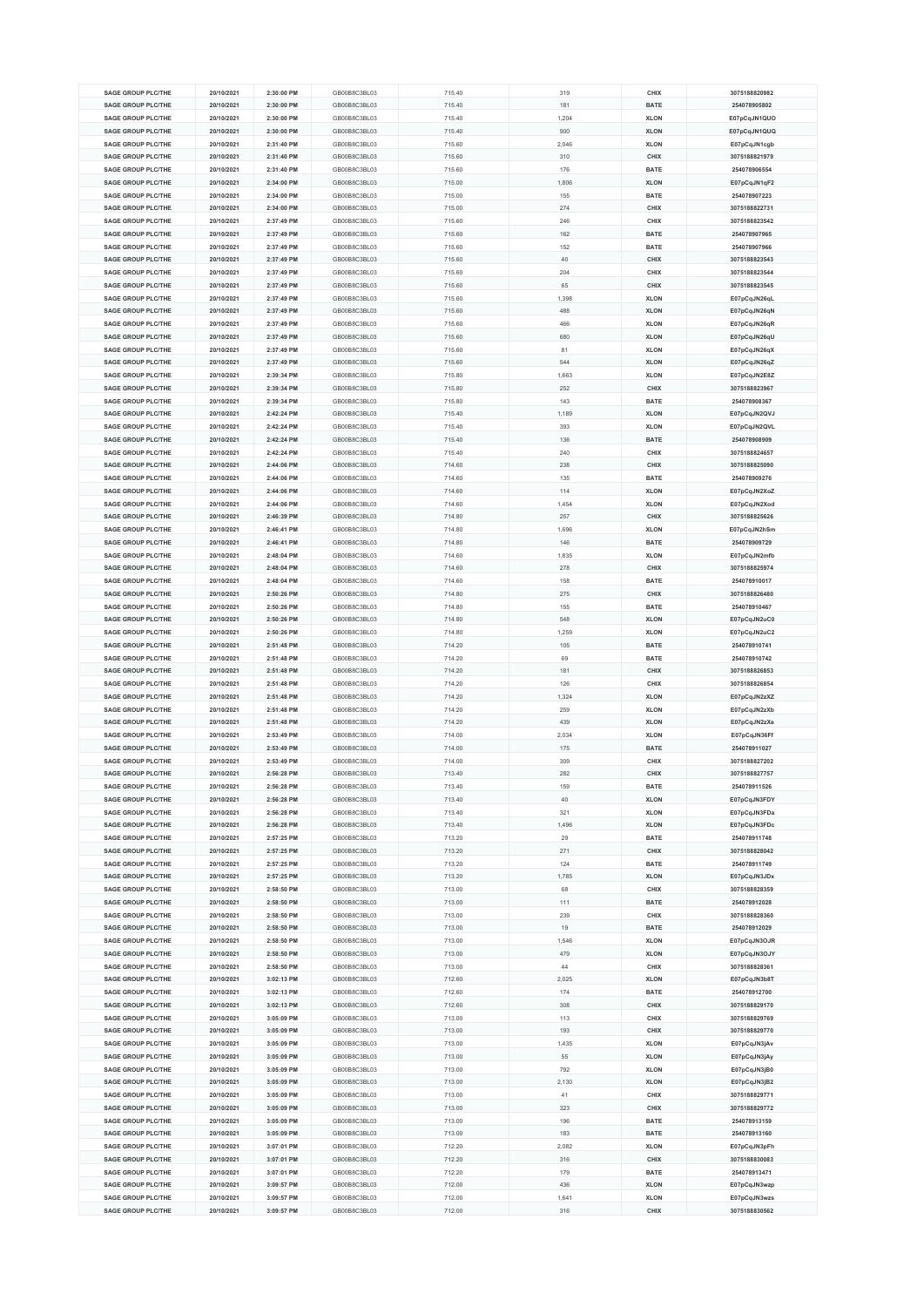| <b>SAGE GROUP PLC/THE</b> | 20/10/2021 | 2:30:00 PM | GB00B8C3BL03 | 715.40 | 319   | CHIX        | 3075188820982 |
|---------------------------|------------|------------|--------------|--------|-------|-------------|---------------|
|                           |            |            |              |        |       |             |               |
| <b>SAGE GROUP PLC/THE</b> | 20/10/2021 | 2:30:00 PM | GB00B8C3BL03 | 715.40 | 181   | <b>BATE</b> | 254078905802  |
| <b>SAGE GROUP PLC/THE</b> | 20/10/2021 | 2:30:00 PM | GB00B8C3BL03 | 715.40 | 1,204 | <b>XLON</b> | E07pCqJN1QUO  |
| <b>SAGE GROUP PLC/THE</b> | 20/10/2021 | 2:30:00 PM | GB00B8C3BL03 | 715.40 | 900   | <b>XLON</b> | E07pCqJN1QUQ  |
| <b>SAGE GROUP PLC/THE</b> | 20/10/2021 | 2:31:40 PM | GB00B8C3BL03 | 715.60 | 2.046 | <b>XLON</b> | E07pCqJN1cgb  |
|                           |            |            |              |        |       |             |               |
| <b>SAGE GROUP PLC/THE</b> | 20/10/2021 | 2:31:40 PM | GB00B8C3BL03 | 715.60 | 310   | CHIX        | 3075188821979 |
| <b>SAGE GROUP PLC/THE</b> | 20/10/2021 | 2:31:40 PM | GB00B8C3BL03 | 715.60 | 176   | <b>BATE</b> | 254078906554  |
| <b>SAGE GROUP PLC/THE</b> | 20/10/2021 | 2:34:00 PM | GB00B8C3BL03 | 715.00 | 1,806 | <b>XLON</b> | E07pCqJN1qF2  |
| <b>SAGE GROUP PLC/THE</b> | 20/10/2021 | 2:34:00 PM | GB00B8C3BL03 | 715.00 | 155   | <b>BATE</b> | 254078907223  |
| <b>SAGE GROUP PLC/THE</b> | 20/10/2021 | 2:34:00 PM | GB00B8C3BL03 | 715.00 | 274   | CHIX        | 3075188822731 |
|                           |            |            |              |        |       |             |               |
| <b>SAGE GROUP PLC/THE</b> | 20/10/2021 | 2:37:49 PM | GB00B8C3BL03 | 715.60 | 246   | CHIX        | 3075188823542 |
| <b>SAGE GROUP PLC/THE</b> | 20/10/2021 | 2:37:49 PM | GB00B8C3BL03 | 715.60 | 162   | <b>BATE</b> | 254078907965  |
| <b>SAGE GROUP PLC/THE</b> | 20/10/2021 | 2:37:49 PM | GB00B8C3BL03 | 715.60 | 152   | <b>BATE</b> | 254078907966  |
| <b>SAGE GROUP PLC/THE</b> | 20/10/2021 | 2:37:49 PM | GB00B8C3BL03 | 715.60 | 40    | CHIX        | 3075188823543 |
| <b>SAGE GROUP PLC/THE</b> | 20/10/2021 | 2:37:49 PM | GB00B8C3BL03 | 715.60 | 204   | CHIX        | 3075188823544 |
|                           |            |            |              |        |       |             |               |
| <b>SAGE GROUP PLC/THE</b> | 20/10/2021 | 2:37:49 PM | GB00B8C3BL03 | 715.60 | 65    | CHIX        | 3075188823545 |
| <b>SAGE GROUP PLC/THE</b> | 20/10/2021 | 2:37:49 PM | GB00B8C3BL03 | 715.60 | 1,398 | <b>XLON</b> | E07pCqJN26qL  |
| <b>SAGE GROUP PLC/THE</b> | 20/10/2021 | 2:37:49 PM | GB00B8C3BL03 | 715.60 | 488   | <b>XLON</b> | E07pCqJN26qN  |
| <b>SAGE GROUP PLC/THE</b> | 20/10/2021 | 2:37:49 PM | GB00B8C3BL03 | 715.60 | 466   | <b>XLON</b> | E07pCqJN26qR  |
| <b>SAGE GROUP PLC/THE</b> | 20/10/2021 | 2:37:49 PM | GB00B8C3BL03 | 715.60 | 680   | <b>XLON</b> | E07pCqJN26qU  |
| <b>SAGE GROUP PLC/THE</b> |            |            |              |        |       |             |               |
|                           | 20/10/2021 | 2:37:49 PM | GB00B8C3BL03 | 715.60 | 81    | <b>XLON</b> | E07pCqJN26qX  |
| <b>SAGE GROUP PLC/THE</b> | 20/10/2021 | 2:37:49 PM | GB00B8C3BL03 | 715.60 | 544   | <b>XLON</b> | E07pCqJN26qZ  |
| <b>SAGE GROUP PLC/THE</b> | 20/10/2021 | 2:39:34 PM | GB00B8C3BL03 | 715.80 | 1,663 | <b>XLON</b> | E07pCqJN2E8Z  |
| <b>SAGE GROUP PLC/THE</b> | 20/10/2021 | 2:39:34 PM | GB00B8C3BL03 | 715.80 | 252   | CHIX        | 3075188823967 |
| <b>SAGE GROUP PLC/THE</b> | 20/10/2021 | 2:39:34 PM | GB00B8C3BL03 | 715.80 | 143   | <b>BATE</b> | 254078908367  |
| <b>SAGE GROUP PLC/THE</b> | 20/10/2021 | 2:42:24 PM | GB00B8C3BL03 | 715.40 | 1,189 | <b>XLON</b> | E07pCqJN2QVJ  |
|                           |            |            |              |        |       |             |               |
| <b>SAGE GROUP PLC/THE</b> | 20/10/2021 | 2:42:24 PM | GB00B8C3BL03 | 715.40 | 393   | <b>XLON</b> | E07pCqJN2QVL  |
| <b>SAGE GROUP PLC/THE</b> | 20/10/2021 | 2:42:24 PM | GB00B8C3BL03 | 715.40 | 136   | <b>BATE</b> | 254078908909  |
| <b>SAGE GROUP PLC/THE</b> | 20/10/2021 | 2:42:24 PM | GB00B8C3BL03 | 715.40 | 240   | CHIX        | 3075188824657 |
| SAGE GROUP PLC/THE        | 20/10/2021 | 2:44:06 PM | GB00B8C3BL03 | 714.60 | 238   | CHIX        | 3075188825090 |
| <b>SAGE GROUP PLC/THE</b> | 20/10/2021 | 2:44:06 PM | GB00B8C3BL03 | 714.60 | 135   | <b>BATE</b> | 254078909276  |
|                           |            |            |              |        |       |             |               |
| <b>SAGE GROUP PLC/THE</b> | 20/10/2021 | 2:44:06 PM | GB00B8C3BL03 | 714.60 | 114   | <b>XLON</b> | E07pCqJN2XoZ  |
| <b>SAGE GROUP PLC/THE</b> | 20/10/2021 | 2:44:06 PM | GB00B8C3BL03 | 714.60 | 1,454 | <b>XLON</b> | E07pCqJN2Xod  |
| SAGE GROUP PLC/THE        | 20/10/2021 | 2:46:39 PM | GB00B8C3BL03 | 714.80 | 257   | CHIX        | 3075188825626 |
| <b>SAGE GROUP PLC/THE</b> | 20/10/2021 | 2:46:41 PM | GB00B8C3BL03 | 714.80 | 1,696 | <b>XLON</b> | E07pCqJN2hSm  |
| <b>SAGE GROUP PLC/THE</b> | 20/10/2021 | 2:46:41 PM | GB00B8C3BL03 | 714.80 | 146   | <b>BATE</b> | 254078909729  |
|                           |            |            |              |        |       |             |               |
| <b>SAGE GROUP PLC/THE</b> | 20/10/2021 | 2:48:04 PM | GB00B8C3BL03 | 714.60 | 1,835 | <b>XLON</b> | E07pCqJN2mfb  |
| <b>SAGE GROUP PLC/THE</b> | 20/10/2021 | 2:48:04 PM | GB00B8C3BL03 | 714.60 | 278   | CHIX        | 3075188825974 |
| <b>SAGE GROUP PLC/THE</b> | 20/10/2021 | 2:48:04 PM | GB00B8C3BL03 | 714.60 | 158   | <b>BATE</b> | 254078910017  |
| <b>SAGE GROUP PLC/THE</b> | 20/10/2021 | 2:50:26 PM | GB00B8C3BL03 | 714.80 | 275   | <b>CHIX</b> | 3075188826480 |
| <b>SAGE GROUP PLC/THE</b> | 20/10/2021 | 2:50:26 PM | GB00B8C3BL03 | 714.80 | 155   | <b>BATE</b> | 254078910467  |
|                           |            |            |              |        |       |             |               |
| <b>SAGE GROUP PLC/THE</b> | 20/10/2021 | 2:50:26 PM | GB00B8C3BL03 | 714.80 | 548   | <b>XLON</b> | E07pCqJN2uC0  |
| <b>SAGE GROUP PLC/THE</b> | 20/10/2021 | 2:50:26 PM | GB00B8C3BL03 | 714.80 | 1,259 | <b>XLON</b> | E07pCqJN2uC2  |
| <b>SAGE GROUP PLC/THE</b> | 20/10/2021 | 2:51:48 PM | GB00B8C3BL03 | 714.20 | 105   | <b>BATE</b> | 254078910741  |
| <b>SAGE GROUP PLC/THE</b> | 20/10/2021 | 2:51:48 PM | GB00B8C3BL03 | 714.20 | 69    | <b>BATE</b> | 254078910742  |
| <b>SAGE GROUP PLC/THE</b> | 20/10/2021 | 2:51:48 PM | GB00B8C3BL03 | 714.20 | 181   | CHIX        | 3075188826853 |
| <b>SAGE GROUP PLC/THE</b> | 20/10/2021 | 2:51:48 PM | GB00B8C3BL03 | 714.20 | 126   | CHIX        | 3075188826854 |
|                           |            |            |              |        |       |             |               |
| <b>SAGE GROUP PLC/THE</b> | 20/10/2021 | 2:51:48 PM | GB00B8C3BL03 | 714.20 | 1,324 | <b>XLON</b> | E07pCqJN2zXZ  |
| <b>SAGE GROUP PLC/THE</b> | 20/10/2021 | 2:51:48 PM | GB00B8C3BL03 | 714.20 | 259   | <b>XLON</b> | E07pCqJN2zXb  |
| <b>SAGE GROUP PLC/THE</b> | 20/10/2021 | 2:51:48 PM | GB00B8C3BL03 | 714.20 | 439   | <b>XLON</b> | E07pCqJN2zXe  |
| <b>SAGE GROUP PLC/THE</b> | 20/10/2021 | 2:53:49 PM | GB00B8C3BL03 | 714.00 | 2,034 | <b>XLON</b> | E07pCqJN36Ff  |
| <b>SAGE GROUP PLC/THE</b> | 20/10/2021 | 2:53:49 PM | GB00B8C3BL03 | 714.00 | 175   | <b>BATE</b> | 254078911027  |
| <b>SAGE GROUP PLC/THE</b> |            |            |              |        |       |             | 3075188827202 |
|                           | 20/10/2021 | 2:53:49 PM | GB00B8C3BL03 | 714.00 | 309   | CHIX        |               |
| <b>SAGE GROUP PLC/THE</b> | 20/10/2021 | 2:56:28 PM | GB00B8C3BL03 | 713.40 | 282   | CHIX        | 3075188827757 |
| <b>SAGE GROUP PLC/THE</b> | 20/10/2021 | 2:56:28 PM | GB00B8C3BL03 | 713.40 | 159   | <b>BATE</b> | 254078911526  |
| <b>SAGE GROUP PLC/THE</b> | 20/10/2021 | 2:56:28 PM | GB00B8C3BL03 | 713.40 | 40    | <b>XLON</b> | E07pCqJN3FDY  |
| <b>SAGE GROUP PLC/THE</b> | 20/10/2021 | 2:56:28 PM | GB00B8C3BL03 | 713.40 | 321   | <b>XLON</b> | E07pCqJN3FDa  |
| <b>SAGE GROUP PLC/THE</b> | 20/10/2021 | 2:56:28 PM | GB00B8C3BL03 | 713.40 | 1,496 | <b>XLON</b> | E07pCqJN3FDc  |
| <b>SAGE GROUP PLC/THE</b> | 20/10/2021 |            | GB00B8C3BL03 |        | 29    |             | 254078911748  |
|                           |            | 2:57:25 PM |              | 713.20 |       | <b>BATE</b> |               |
| <b>SAGE GROUP PLC/THE</b> | 20/10/2021 | 2:57:25 PM | GB00B8C3BL03 | 713.20 | 271   | CHIX        | 3075188828042 |
| <b>SAGE GROUP PLC/THE</b> | 20/10/2021 | 2:57:25 PM | GB00B8C3BL03 | 713.20 | 124   | <b>BATE</b> | 254078911749  |
| <b>SAGE GROUP PLC/THE</b> | 20/10/2021 | 2:57:25 PM | GB00B8C3BL03 | 713.20 | 1,785 | <b>XLON</b> | E07pCqJN3JDx  |
| <b>SAGE GROUP PLC/THE</b> | 20/10/2021 | 2:58:50 PM | GB00B8C3BL03 | 713.00 | 68    | CHIX        | 3075188828359 |
| <b>SAGE GROUP PLC/THE</b> | 20/10/2021 | 2:58:50 PM | GB00B8C3BL03 | 713.00 | 111   | <b>BATE</b> | 254078912028  |
| <b>SAGE GROUP PLC/THE</b> | 20/10/2021 | 2:58:50 PM | GB00B8C3BL03 |        | 239   | CHIX        | 3075188828360 |
|                           |            |            |              | 713.00 |       |             |               |
| <b>SAGE GROUP PLC/THE</b> | 20/10/2021 | 2:58:50 PM | GB00B8C3BL03 | 713.00 | 19    | <b>BATE</b> | 254078912029  |
| <b>SAGE GROUP PLC/THE</b> | 20/10/2021 | 2:58:50 PM | GB00B8C3BL03 | 713.00 | 1,546 | <b>XLON</b> | E07pCqJN3OJR  |
| <b>SAGE GROUP PLC/THE</b> | 20/10/2021 | 2:58:50 PM | GB00B8C3BL03 | 713.00 | 479   | <b>XLON</b> | E07pCqJN3OJY  |
| <b>SAGE GROUP PLC/THE</b> | 20/10/2021 | 2:58:50 PM | GB00B8C3BL03 | 713.00 | $44$  | CHIX        | 3075188828361 |
| <b>SAGE GROUP PLC/THE</b> | 20/10/2021 | 3:02:13 PM | GB00B8C3BL03 | 712.60 | 2,025 | <b>XLON</b> | E07pCqJN3b8T  |
| <b>SAGE GROUP PLC/THE</b> |            | 3:02:13 PM | GB00B8C3BL03 |        | 174   | <b>BATE</b> | 254078912700  |
|                           | 20/10/2021 |            |              | 712.60 |       |             |               |
| <b>SAGE GROUP PLC/THE</b> | 20/10/2021 | 3:02:13 PM | GB00B8C3BL03 | 712.60 | 308   | CHIX        | 3075188829170 |
| <b>SAGE GROUP PLC/THE</b> | 20/10/2021 | 3:05:09 PM | GB00B8C3BL03 | 713.00 | 113   | CHIX        | 3075188829769 |
| <b>SAGE GROUP PLC/THE</b> | 20/10/2021 | 3:05:09 PM | GB00B8C3BL03 | 713.00 | 193   | CHIX        | 3075188829770 |
| <b>SAGE GROUP PLC/THE</b> | 20/10/2021 | 3:05:09 PM | GB00B8C3BL03 | 713.00 | 1,435 | <b>XLON</b> | E07pCqJN3jAv  |
| <b>SAGE GROUP PLC/THE</b> | 20/10/2021 | 3:05:09 PM | GB00B8C3BL03 | 713.00 | 55    | <b>XLON</b> | E07pCqJN3jAy  |
| <b>SAGE GROUP PLC/THE</b> | 20/10/2021 | 3:05:09 PM | GB00B8C3BL03 | 713.00 | 792   | <b>XLON</b> |               |
|                           |            |            |              |        |       |             | E07pCqJN3jB0  |
| <b>SAGE GROUP PLC/THE</b> | 20/10/2021 | 3:05:09 PM | GB00B8C3BL03 | 713.00 | 2.130 | <b>XLON</b> | E07pCqJN3jB2  |
| <b>SAGE GROUP PLC/THE</b> | 20/10/2021 | 3:05:09 PM | GB00B8C3BL03 | 713.00 | 41    | CHIX        | 3075188829771 |
| <b>SAGE GROUP PLC/THE</b> | 20/10/2021 | 3:05:09 PM | GB00B8C3BL03 | 713.00 | 323   | CHIX        | 3075188829772 |
| <b>SAGE GROUP PLC/THE</b> | 20/10/2021 | 3:05:09 PM | GB00B8C3BL03 | 713.00 | 196   | <b>BATE</b> | 254078913159  |
| <b>SAGE GROUP PLC/THE</b> | 20/10/2021 | 3:05:09 PM | GB00B8C3BL03 | 713.00 | 183   | <b>BATE</b> | 254078913160  |
|                           |            |            |              |        |       |             |               |
| <b>SAGE GROUP PLC/THE</b> | 20/10/2021 | 3:07:01 PM | GB00B8C3BL03 | 712.20 | 2,082 | <b>XLON</b> | E07pCqJN3pFh  |
| <b>SAGE GROUP PLC/THE</b> | 20/10/2021 | 3:07:01 PM | GB00B8C3BL03 | 712.20 | 316   | CHIX        | 3075188830083 |
| <b>SAGE GROUP PLC/THE</b> | 20/10/2021 | 3:07:01 PM | GB00B8C3BL03 | 712.20 | 179   | <b>BATE</b> | 254078913471  |
| <b>SAGE GROUP PLC/THE</b> | 20/10/2021 | 3:09:57 PM | GB00B8C3BL03 | 712.00 | 436   | <b>XLON</b> | E07pCqJN3wzp  |
| <b>SAGE GROUP PLC/THE</b> | 20/10/2021 | 3:09:57 PM | GB00B8C3BL03 | 712.00 | 1,641 | <b>XLON</b> | E07pCqJN3wzs  |
| <b>SAGE GROUP PLC/THE</b> | 20/10/2021 | 3:09:57 PM | GB00B8C3BL03 | 712.00 | 316   | CHIX        | 3075188830562 |
|                           |            |            |              |        |       |             |               |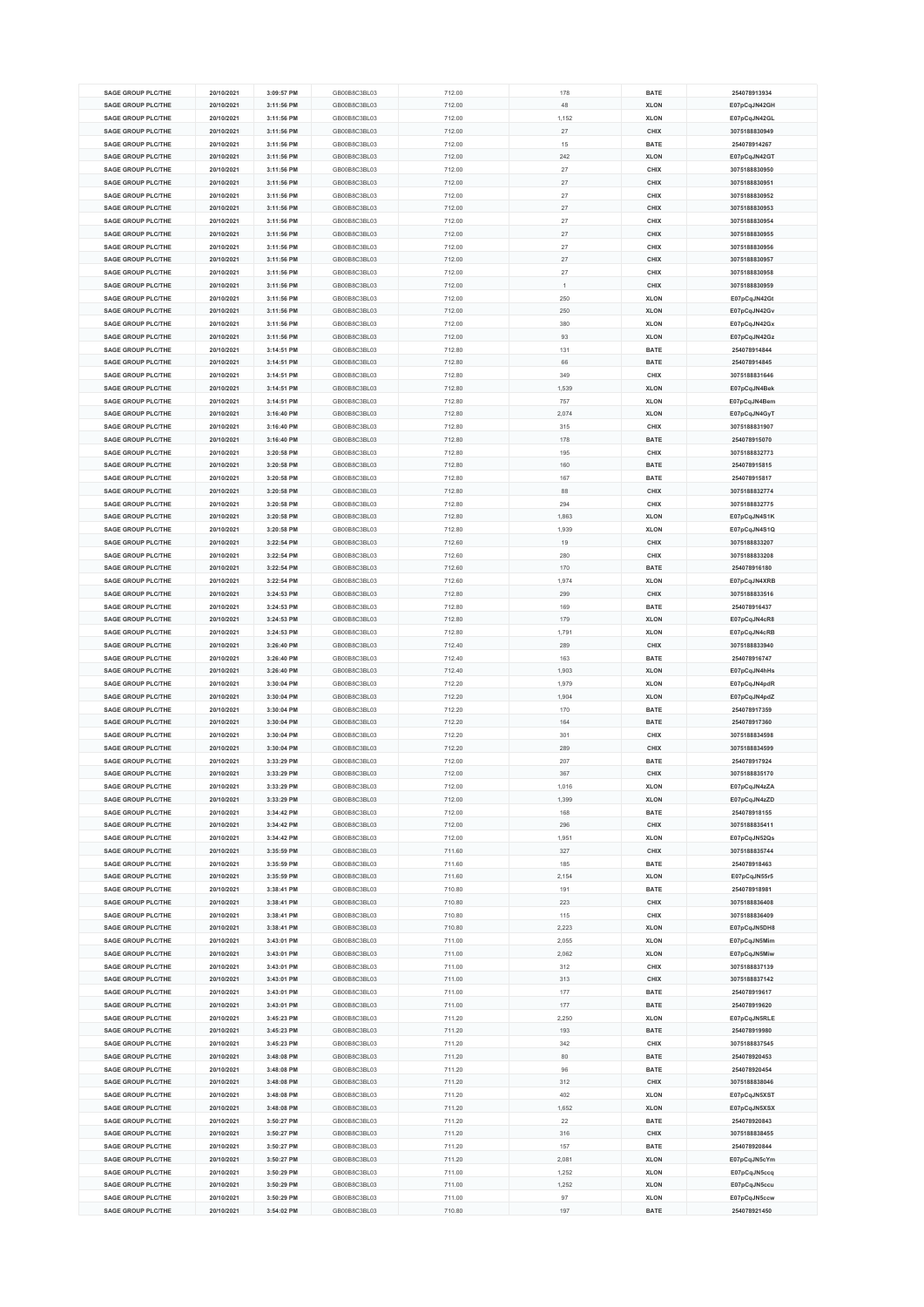| <b>SAGE GROUP PLC/THE</b>                              | 20/10/2021               | 3:09:57 PM               | GB00B8C3BL03                 | 712.00           | 178       | <b>BATE</b>                | 254078913934                 |
|--------------------------------------------------------|--------------------------|--------------------------|------------------------------|------------------|-----------|----------------------------|------------------------------|
| <b>SAGE GROUP PLC/THE</b>                              |                          |                          | GB00B8C3BL03                 |                  | 48        | <b>XLON</b>                |                              |
|                                                        | 20/10/2021               | 3:11:56 PM               |                              | 712.00           |           |                            | E07pCqJN42GH                 |
| <b>SAGE GROUP PLC/THE</b>                              | 20/10/2021               | 3:11:56 PM               | GB00B8C3BL03                 | 712.00           | 1,152     | <b>XLON</b>                | E07pCqJN42GL                 |
| <b>SAGE GROUP PLC/THE</b>                              | 20/10/2021               | 3:11:56 PM               | GB00B8C3BL03                 | 712.00           | $27\,$    | CHIX                       | 3075188830949                |
| <b>SAGE GROUP PLC/THE</b>                              | 20/10/2021               | 3:11:56 PM               | GB00B8C3BL03                 | 712.00           | 15        | <b>BATE</b>                | 254078914267                 |
| <b>SAGE GROUP PLC/THE</b>                              | 20/10/2021               | 3:11:56 PM               | GB00B8C3BL03                 |                  | 242       | <b>XLON</b>                |                              |
|                                                        |                          |                          |                              | 712.00           |           |                            | E07pCqJN42GT                 |
| <b>SAGE GROUP PLC/THE</b>                              | 20/10/2021               | 3:11:56 PM               | GB00B8C3BL03                 | 712.00           | 27        | CHIX                       | 3075188830950                |
| <b>SAGE GROUP PLC/THE</b>                              | 20/10/2021               | 3:11:56 PM               | GB00B8C3BL03                 | 712.00           | 27        | CHIX                       | 3075188830951                |
| <b>SAGE GROUP PLC/THE</b>                              | 20/10/2021               | 3:11:56 PM               | GB00B8C3BL03                 | 712.00           | 27        | CHIX                       | 3075188830952                |
| <b>SAGE GROUP PLC/THE</b>                              | 20/10/2021               | 3:11:56 PM               | GB00B8C3BL03                 | 712.00           | $27\,$    | CHIX                       | 3075188830953                |
| <b>SAGE GROUP PLC/THE</b>                              |                          |                          | GB00B8C3BL03                 |                  | 27        |                            | 3075188830954                |
|                                                        | 20/10/2021               | 3:11:56 PM               |                              | 712.00           |           | CHIX                       |                              |
| <b>SAGE GROUP PLC/THE</b>                              | 20/10/2021               | 3:11:56 PM               | GB00B8C3BL03                 | 712.00           | 27        | CHIX                       | 3075188830955                |
| <b>SAGE GROUP PLC/THE</b>                              | 20/10/2021               | 3:11:56 PM               | GB00B8C3BL03                 | 712.00           | 27        | CHIX                       | 3075188830956                |
| <b>SAGE GROUP PLC/THE</b>                              | 20/10/2021               | 3:11:56 PM               | GB00B8C3BL03                 | 712.00           | 27        | CHIX                       | 3075188830957                |
| <b>SAGE GROUP PLC/THE</b>                              | 20/10/2021               | 3:11:56 PM               | GB00B8C3BL03                 | 712.00           | 27        | CHIX                       | 3075188830958                |
|                                                        |                          |                          |                              |                  |           |                            |                              |
| <b>SAGE GROUP PLC/THE</b>                              | 20/10/2021               | 3:11:56 PM               | GB00B8C3BL03                 | 712.00           |           | CHIX                       | 3075188830959                |
| <b>SAGE GROUP PLC/THE</b>                              | 20/10/2021               | 3:11:56 PM               | GB00B8C3BL03                 | 712.00           | 250       | <b>XLON</b>                | E07pCqJN42Gt                 |
| <b>SAGE GROUP PLC/THE</b>                              | 20/10/2021               | 3:11:56 PM               | GB00B8C3BL03                 | 712.00           | 250       | <b>XLON</b>                | E07pCqJN42Gv                 |
| <b>SAGE GROUP PLC/THE</b>                              | 20/10/2021               | 3:11:56 PM               | GB00B8C3BL03                 | 712.00           | 380       | <b>XLON</b>                | E07pCqJN42Gx                 |
| <b>SAGE GROUP PLC/THE</b>                              | 20/10/2021               | 3:11:56 PM               | GB00B8C3BL03                 | 712.00           | 93        | <b>XLON</b>                | E07pCqJN42Gz                 |
|                                                        |                          |                          |                              |                  |           |                            |                              |
| <b>SAGE GROUP PLC/THE</b>                              | 20/10/2021               | 3:14:51 PM               | GB00B8C3BL03                 | 712.80           | 131       | <b>BATE</b>                | 254078914844                 |
| <b>SAGE GROUP PLC/THE</b>                              | 20/10/2021               | 3:14:51 PM               | GB00B8C3BL03                 | 712.80           | 66        | <b>BATE</b>                | 254078914845                 |
| <b>SAGE GROUP PLC/THE</b>                              | 20/10/2021               | 3:14:51 PM               | GB00B8C3BL03                 | 712.80           | 349       | CHIX                       | 3075188831646                |
| <b>SAGE GROUP PLC/THE</b>                              | 20/10/2021               | 3:14:51 PM               | GB00B8C3BL03                 | 712.80           | 1,539     | <b>XLON</b>                | E07pCqJN4Bek                 |
| <b>SAGE GROUP PLC/THE</b>                              | 20/10/2021               | 3:14:51 PM               | GB00B8C3BL03                 | 712.80           | 757       | <b>XLON</b>                | E07pCqJN4Bem                 |
|                                                        |                          |                          |                              |                  |           |                            |                              |
| <b>SAGE GROUP PLC/THE</b>                              | 20/10/2021               | 3:16:40 PM               | GB00B8C3BL03                 | 712.80           | 2,074     | <b>XLON</b>                | E07pCqJN4GyT                 |
| SAGE GROUP PLC/THE                                     | 20/10/2021               | 3:16:40 PM               | GB00B8C3BL03                 | 712.80           | 315       | CHIX                       | 3075188831907                |
| <b>SAGE GROUP PLC/THE</b>                              | 20/10/2021               | 3:16:40 PM               | GB00B8C3BL03                 | 712.80           | 178       | <b>BATE</b>                | 254078915070                 |
| <b>SAGE GROUP PLC/THE</b>                              | 20/10/2021               | 3:20:58 PM               | GB00B8C3BL03                 | 712.80           | 195       | CHIX                       | 3075188832773                |
|                                                        |                          |                          |                              |                  |           |                            | 254078915815                 |
| <b>SAGE GROUP PLC/THE</b>                              | 20/10/2021               | 3:20:58 PM               | GB00B8C3BL03                 | 712.80           | 160       | <b>BATE</b>                |                              |
| <b>SAGE GROUP PLC/THE</b>                              | 20/10/2021               | 3:20:58 PM               | GB00B8C3BL03                 | 712.80           | 167       | BATE                       | 254078915817                 |
| <b>SAGE GROUP PLC/THE</b>                              | 20/10/2021               | 3:20:58 PM               | GB00B8C3BL03                 | 712.80           | 88        | CHIX                       | 3075188832774                |
| <b>SAGE GROUP PLC/THE</b>                              | 20/10/2021               | 3:20:58 PM               | GB00B8C3BL03                 | 712.80           | 294       | CHIX                       | 3075188832775                |
| <b>SAGE GROUP PLC/THE</b>                              | 20/10/2021               | 3:20:58 PM               | GB00B8C3BL03                 | 712.80           | 1,863     | <b>XLON</b>                | E07pCqJN4S1K                 |
|                                                        |                          |                          |                              |                  |           |                            |                              |
| <b>SAGE GROUP PLC/THE</b>                              | 20/10/2021               | 3:20:58 PM               | GB00B8C3BL03                 | 712.80           | 1,939     | <b>XLON</b>                | E07pCqJN4S1Q                 |
| <b>SAGE GROUP PLC/THE</b>                              | 20/10/2021               | 3:22:54 PM               | GB00B8C3BL03                 | 712.60           | 19        | CHIX                       | 3075188833207                |
| <b>SAGE GROUP PLC/THE</b>                              | 20/10/2021               | 3:22:54 PM               | GB00B8C3BL03                 | 712.60           | 280       | CHIX                       | 3075188833208                |
| <b>SAGE GROUP PLC/THE</b>                              | 20/10/2021               | 3:22:54 PM               | GB00B8C3BL03                 | 712.60           | 170       | <b>BATE</b>                | 254078916180                 |
| <b>SAGE GROUP PLC/THE</b>                              | 20/10/2021               | 3:22:54 PM               | GB00B8C3BL03                 | 712.60           | 1,974     | <b>XLON</b>                | E07pCqJN4XRB                 |
| <b>SAGE GROUP PLC/THE</b>                              |                          |                          |                              |                  |           |                            |                              |
|                                                        | 20/10/2021               | 3:24:53 PM               | GB00B8C3BL03                 | 712.80           | 299       | CHIX                       | 3075188833516                |
| <b>SAGE GROUP PLC/THE</b>                              | 20/10/2021               | 3:24:53 PM               | GB00B8C3BL03                 | 712.80           | 169       | <b>BATE</b>                | 254078916437                 |
| <b>SAGE GROUP PLC/THE</b>                              | 20/10/2021               | 3:24:53 PM               | GB00B8C3BL03                 | 712.80           | 179       | <b>XLON</b>                | E07pCqJN4cR8                 |
| <b>SAGE GROUP PLC/THE</b>                              | 20/10/2021               | 3:24:53 PM               | GB00B8C3BL03                 | 712.80           | 1,791     | <b>XLON</b>                | E07pCqJN4cRB                 |
| <b>SAGE GROUP PLC/THE</b>                              | 20/10/2021               | 3:26:40 PM               | GB00B8C3BL03                 | 712.40           | 289       | CHIX                       | 3075188833940                |
|                                                        |                          |                          |                              |                  |           |                            |                              |
| <b>SAGE GROUP PLC/THE</b>                              | 20/10/2021               | 3:26:40 PM               | GB00B8C3BL03                 | 712.40           | 163       | <b>BATE</b>                | 254078916747                 |
| <b>SAGE GROUP PLC/THE</b>                              | 20/10/2021               | 3:26:40 PM               | GB00B8C3BL03                 | 712.40           | 1,903     | <b>XLON</b>                | E07pCqJN4hHs                 |
| <b>SAGE GROUP PLC/THE</b>                              | 20/10/2021               | 3:30:04 PM               | GB00B8C3BL03                 | 712.20           | 1,979     | <b>XLON</b>                | E07pCqJN4pdR                 |
| <b>SAGE GROUP PLC/THE</b>                              | 20/10/2021               | 3:30:04 PM               | GB00B8C3BL03                 | 712.20           | 1,904     | <b>XLON</b>                | E07pCqJN4pdZ                 |
| <b>SAGE GROUP PLC/THE</b>                              | 20/10/2021               | 3:30:04 PM               | GB00B8C3BL03                 | 712.20           | 170       | <b>BATE</b>                | 254078917359                 |
|                                                        |                          |                          |                              |                  |           |                            |                              |
| SAGE GROUP PLC/THE                                     | 20/10/2021               | 3:30:04 PM               | GB00B8C3BL03                 | 712.20           | 164       | <b>BATE</b>                | 254078917360                 |
| <b>SAGE GROUP PLC/THE</b>                              | 20/10/2021               | 3:30:04 PM               | GB00B8C3BL03                 | 712.20           | 301       | CHIX                       | 3075188834598                |
| <b>SAGE GROUP PLC/THE</b>                              | 20/10/2021               | 3:30:04 PM               | GB00B8C3BL03                 | 712.20           | 289       | CHIX                       | 3075188834599                |
| <b>SAGE GROUP PLC/THE</b>                              | 20/10/2021               | 3:33:29 PM               | GB00B8C3BL03                 | 712.00           | 207       | <b>BATE</b>                | 254078917924                 |
| <b>SAGE GROUP PLC/THE</b>                              | 20/10/2021               | 3:33:29 PM               | GB00B8C3BL03                 | 712.00           | 367       | CHIX                       | 3075188835170                |
|                                                        |                          |                          |                              |                  |           |                            |                              |
| <b>SAGE GROUP PLC/THE</b>                              | 20/10/2021               | 3:33:29 PM               | GB00B8C3BL03                 | 712.00           | 1,016     | <b>XLON</b>                | E07pCqJN4zZA                 |
| <b>SAGE GROUP PLC/THE</b>                              | 20/10/2021               | 3:33:29 PM               | GB00B8C3BL03                 | 712.00           | 1,399     | <b>XLON</b>                | E07pCqJN4zZD                 |
| <b>SAGE GROUP PLC/THE</b>                              | 20/10/2021               | 3:34:42 PM               | GB00B8C3BL03                 | 712.00           | 168       | <b>BATE</b>                | 254078918155                 |
| <b>SAGE GROUP PLC/THE</b>                              | 20/10/2021               | 3:34:42 PM               | GB00B8C3BL03                 | 712.00           | 296       | CHIX                       | 3075188835411                |
| <b>SAGE GROUP PLC/THE</b>                              | 20/10/2021               | 3:34:42 PM               | GB00B8C3BL03                 | 712.00           | 1,951     | <b>XLON</b>                | E07pCqJN52Qs                 |
|                                                        |                          |                          |                              |                  |           |                            |                              |
| <b>SAGE GROUP PLC/THE</b>                              | 20/10/2021               | 3:35:59 PM               | GB00B8C3BL03                 | 711.60           | 327       | CHIX                       | 3075188835744                |
| <b>SAGE GROUP PLC/THE</b>                              | 20/10/2021               | 3:35:59 PM               | GB00B8C3BL03                 | 711.60           | 185       | <b>BATE</b>                | 254078918463                 |
| <b>SAGE GROUP PLC/THE</b>                              | 20/10/2021               | 3:35:59 PM               | GB00B8C3BL03                 | 711.60           | 2,154     | <b>XLON</b>                | E07pCqJN55r5                 |
| <b>SAGE GROUP PLC/THE</b>                              | 20/10/2021               | 3:38:41 PM               | GB00B8C3BL03                 | 710.80           | 191       | <b>BATE</b>                | 254078918981                 |
| <b>SAGE GROUP PLC/THE</b>                              | 20/10/2021               | 3:38:41 PM               | GB00B8C3BL03                 | 710.80           | 223       | CHIX                       | 3075188836408                |
| <b>SAGE GROUP PLC/THE</b>                              | 20/10/2021               | 3:38:41 PM               | GB00B8C3BL03                 | 710.80           | 115       | CHIX                       | 3075188836409                |
|                                                        |                          |                          |                              |                  |           |                            |                              |
| <b>SAGE GROUP PLC/THE</b>                              | 20/10/2021               | 3:38:41 PM               | GB00B8C3BL03                 | 710.80           | 2,223     | <b>XLON</b>                | E07pCqJN5DH8                 |
| <b>SAGE GROUP PLC/THE</b>                              | 20/10/2021               | 3:43:01 PM               | GB00B8C3BL03                 | 711.00           | 2,055     | <b>XLON</b>                | E07pCqJN5Mim                 |
| <b>SAGE GROUP PLC/THE</b>                              | 20/10/2021               | 3:43:01 PM               | GB00B8C3BL03                 | 711.00           | 2,062     | <b>XLON</b>                | E07pCqJN5Miw                 |
| <b>SAGE GROUP PLC/THE</b>                              |                          | 3:43:01 PM               | GB00B8C3BL03                 | 711.00           | 312       | CHIX                       | 3075188837139                |
|                                                        | 20/10/2021               |                          |                              |                  |           |                            |                              |
|                                                        |                          |                          |                              |                  |           |                            |                              |
| <b>SAGE GROUP PLC/THE</b>                              | 20/10/2021               | 3:43:01 PM               | GB00B8C3BL03                 | 711.00           | 313       | CHIX                       | 3075188837142                |
| <b>SAGE GROUP PLC/THE</b>                              | 20/10/2021               | 3:43:01 PM               | GB00B8C3BL03                 | 711.00           | 177       | <b>BATE</b>                | 254078919617                 |
| <b>SAGE GROUP PLC/THE</b>                              | 20/10/2021               | 3:43:01 PM               | GB00B8C3BL03                 | 711.00           | 177       | <b>BATE</b>                | 254078919620                 |
| <b>SAGE GROUP PLC/THE</b>                              | 20/10/2021               | 3:45:23 PM               | GB00B8C3BL03                 | 711.20           | 2,250     | <b>XLON</b>                | E07pCqJN5RLE                 |
| <b>SAGE GROUP PLC/THE</b>                              | 20/10/2021               | 3:45:23 PM               | GB00B8C3BL03                 | 711.20           | 193       | <b>BATE</b>                | 254078919980                 |
|                                                        |                          |                          |                              |                  |           |                            |                              |
| <b>SAGE GROUP PLC/THE</b>                              | 20/10/2021               | 3:45:23 PM               | GB00B8C3BL03                 | 711.20           | 342       | CHIX                       | 3075188837545                |
| <b>SAGE GROUP PLC/THE</b>                              | 20/10/2021               | 3:48:08 PM               | GB00B8C3BL03                 | 711.20           | 80        | <b>BATE</b>                | 254078920453                 |
| <b>SAGE GROUP PLC/THE</b>                              | 20/10/2021               | 3:48:08 PM               | GB00B8C3BL03                 | 711.20           | 96        | <b>BATE</b>                | 254078920454                 |
| <b>SAGE GROUP PLC/THE</b>                              | 20/10/2021               | 3:48:08 PM               | GB00B8C3BL03                 | 711.20           | 312       | CHIX                       | 3075188838046                |
| <b>SAGE GROUP PLC/THE</b>                              | 20/10/2021               | 3:48:08 PM               | GB00B8C3BL03                 | 711.20           | 402       | <b>XLON</b>                | E07pCqJN5XST                 |
|                                                        |                          |                          |                              |                  |           |                            |                              |
| <b>SAGE GROUP PLC/THE</b>                              | 20/10/2021               | 3:48:08 PM               | GB00B8C3BL03                 | 711.20           | 1,652     | <b>XLON</b>                | E07pCqJN5XSX                 |
| <b>SAGE GROUP PLC/THE</b>                              | 20/10/2021               | 3:50:27 PM               | GB00B8C3BL03                 | 711.20           | $22\,$    | <b>BATE</b>                | 254078920843                 |
| <b>SAGE GROUP PLC/THE</b>                              | 20/10/2021               | 3:50:27 PM               | GB00B8C3BL03                 | 711.20           | 316       | CHIX                       | 3075188838455                |
| <b>SAGE GROUP PLC/THE</b>                              | 20/10/2021               | 3:50:27 PM               | GB00B8C3BL03                 | 711.20           | 157       | <b>BATE</b>                | 254078920844                 |
| <b>SAGE GROUP PLC/THE</b>                              | 20/10/2021               | 3:50:27 PM               | GB00B8C3BL03                 | 711.20           | 2,081     | <b>XLON</b>                | E07pCqJN5cYm                 |
|                                                        |                          |                          |                              |                  |           |                            |                              |
| <b>SAGE GROUP PLC/THE</b>                              | 20/10/2021               | 3:50:29 PM               | GB00B8C3BL03                 | 711.00           | 1,252     | <b>XLON</b>                | E07pCqJN5ccq                 |
| <b>SAGE GROUP PLC/THE</b>                              | 20/10/2021               | 3:50:29 PM               | GB00B8C3BL03                 | 711.00           | 1,252     | <b>XLON</b>                | E07pCqJN5ccu                 |
| <b>SAGE GROUP PLC/THE</b><br><b>SAGE GROUP PLC/THE</b> | 20/10/2021<br>20/10/2021 | 3:50:29 PM<br>3:54:02 PM | GB00B8C3BL03<br>GB00B8C3BL03 | 711.00<br>710.80 | 97<br>197 | <b>XLON</b><br><b>BATE</b> | E07pCqJN5ccw<br>254078921450 |